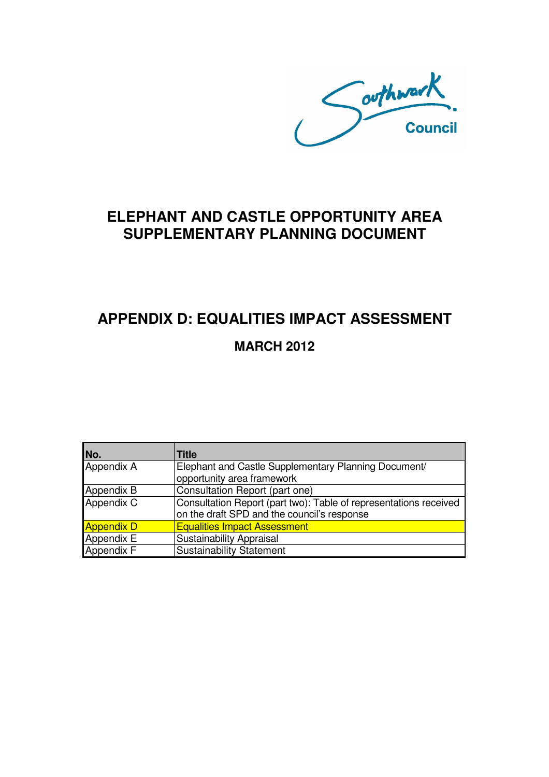Southwark.

## **ELEPHANT AND CASTLE OPPORTUNITY AREA SUPPLEMENTARY PLANNING DOCUMENT**

# **APPENDIX D: EQUALITIES IMPACT ASSESSMENT MARCH 2012**

| No.               | Title                                                             |
|-------------------|-------------------------------------------------------------------|
| Appendix A        | Elephant and Castle Supplementary Planning Document/              |
|                   | opportunity area framework                                        |
| Appendix B        | Consultation Report (part one)                                    |
| Appendix C        | Consultation Report (part two): Table of representations received |
|                   | on the draft SPD and the council's response                       |
| <b>Appendix D</b> | <b>Equalities Impact Assessment</b>                               |
| Appendix E        | <b>Sustainability Appraisal</b>                                   |
| Appendix F        | <b>Sustainability Statement</b>                                   |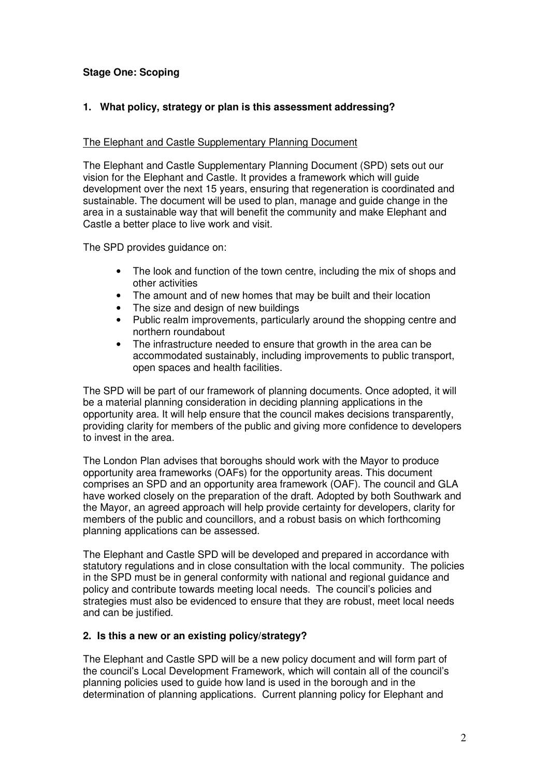### **Stage One: Scoping**

### **1. What policy, strategy or plan is this assessment addressing?**

#### The Elephant and Castle Supplementary Planning Document

The Elephant and Castle Supplementary Planning Document (SPD) sets out our vision for the Elephant and Castle. It provides a framework which will guide development over the next 15 years, ensuring that regeneration is coordinated and sustainable. The document will be used to plan, manage and guide change in the area in a sustainable way that will benefit the community and make Elephant and Castle a better place to live work and visit.

The SPD provides guidance on:

- The look and function of the town centre, including the mix of shops and other activities
- The amount and of new homes that may be built and their location
- The size and design of new buildings
- Public realm improvements, particularly around the shopping centre and northern roundabout
- The infrastructure needed to ensure that growth in the area can be accommodated sustainably, including improvements to public transport, open spaces and health facilities.

The SPD will be part of our framework of planning documents. Once adopted, it will be a material planning consideration in deciding planning applications in the opportunity area. It will help ensure that the council makes decisions transparently, providing clarity for members of the public and giving more confidence to developers to invest in the area.

The London Plan advises that boroughs should work with the Mayor to produce opportunity area frameworks (OAFs) for the opportunity areas. This document comprises an SPD and an opportunity area framework (OAF). The council and GLA have worked closely on the preparation of the draft. Adopted by both Southwark and the Mayor, an agreed approach will help provide certainty for developers, clarity for members of the public and councillors, and a robust basis on which forthcoming planning applications can be assessed.

The Elephant and Castle SPD will be developed and prepared in accordance with statutory regulations and in close consultation with the local community. The policies in the SPD must be in general conformity with national and regional guidance and policy and contribute towards meeting local needs. The council's policies and strategies must also be evidenced to ensure that they are robust, meet local needs and can be justified.

#### **2. Is this a new or an existing policy/strategy?**

The Elephant and Castle SPD will be a new policy document and will form part of the council's Local Development Framework, which will contain all of the council's planning policies used to guide how land is used in the borough and in the determination of planning applications. Current planning policy for Elephant and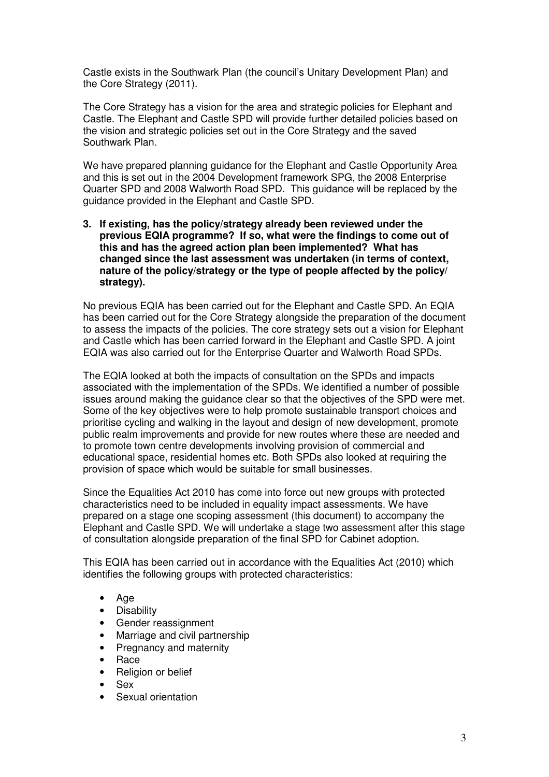Castle exists in the Southwark Plan (the council's Unitary Development Plan) and the Core Strategy (2011).

The Core Strategy has a vision for the area and strategic policies for Elephant and Castle. The Elephant and Castle SPD will provide further detailed policies based on the vision and strategic policies set out in the Core Strategy and the saved Southwark Plan.

We have prepared planning guidance for the Elephant and Castle Opportunity Area and this is set out in the 2004 Development framework SPG, the 2008 Enterprise Quarter SPD and 2008 Walworth Road SPD. This guidance will be replaced by the guidance provided in the Elephant and Castle SPD.

**3. If existing, has the policy/strategy already been reviewed under the previous EQIA programme? If so, what were the findings to come out of this and has the agreed action plan been implemented? What has changed since the last assessment was undertaken (in terms of context, nature of the policy/strategy or the type of people affected by the policy/ strategy).** 

No previous EQIA has been carried out for the Elephant and Castle SPD. An EQIA has been carried out for the Core Strategy alongside the preparation of the document to assess the impacts of the policies. The core strategy sets out a vision for Elephant and Castle which has been carried forward in the Elephant and Castle SPD. A joint EQIA was also carried out for the Enterprise Quarter and Walworth Road SPDs.

The EQIA looked at both the impacts of consultation on the SPDs and impacts associated with the implementation of the SPDs. We identified a number of possible issues around making the guidance clear so that the objectives of the SPD were met. Some of the key objectives were to help promote sustainable transport choices and prioritise cycling and walking in the layout and design of new development, promote public realm improvements and provide for new routes where these are needed and to promote town centre developments involving provision of commercial and educational space, residential homes etc. Both SPDs also looked at requiring the provision of space which would be suitable for small businesses.

Since the Equalities Act 2010 has come into force out new groups with protected characteristics need to be included in equality impact assessments. We have prepared on a stage one scoping assessment (this document) to accompany the Elephant and Castle SPD. We will undertake a stage two assessment after this stage of consultation alongside preparation of the final SPD for Cabinet adoption.

This EQIA has been carried out in accordance with the Equalities Act (2010) which identifies the following groups with protected characteristics:

- Age
- **Disability**
- Gender reassignment
- Marriage and civil partnership
- Pregnancy and maternity
- Race
- Religion or belief
- Sex
- Sexual orientation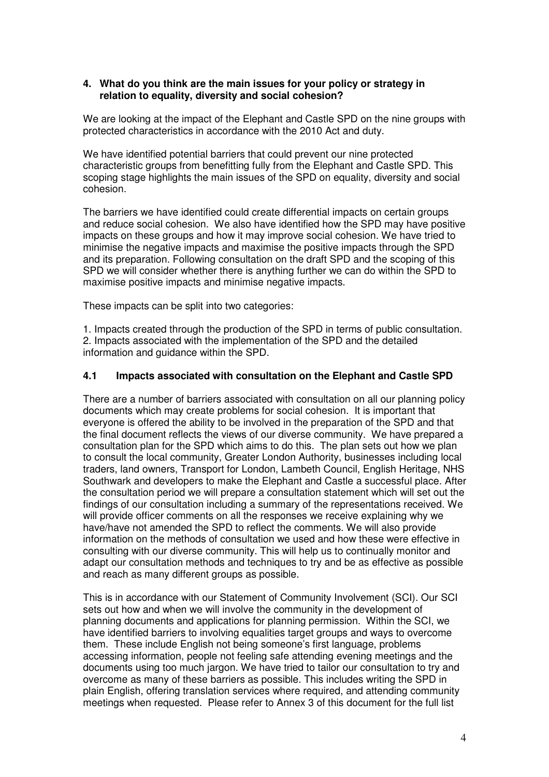#### **4. What do you think are the main issues for your policy or strategy in relation to equality, diversity and social cohesion?**

We are looking at the impact of the Elephant and Castle SPD on the nine groups with protected characteristics in accordance with the 2010 Act and duty.

We have identified potential barriers that could prevent our nine protected characteristic groups from benefitting fully from the Elephant and Castle SPD. This scoping stage highlights the main issues of the SPD on equality, diversity and social cohesion.

The barriers we have identified could create differential impacts on certain groups and reduce social cohesion. We also have identified how the SPD may have positive impacts on these groups and how it may improve social cohesion. We have tried to minimise the negative impacts and maximise the positive impacts through the SPD and its preparation. Following consultation on the draft SPD and the scoping of this SPD we will consider whether there is anything further we can do within the SPD to maximise positive impacts and minimise negative impacts.

These impacts can be split into two categories:

1. Impacts created through the production of the SPD in terms of public consultation. 2. Impacts associated with the implementation of the SPD and the detailed information and guidance within the SPD.

#### **4.1 Impacts associated with consultation on the Elephant and Castle SPD**

There are a number of barriers associated with consultation on all our planning policy documents which may create problems for social cohesion. It is important that everyone is offered the ability to be involved in the preparation of the SPD and that the final document reflects the views of our diverse community. We have prepared a consultation plan for the SPD which aims to do this. The plan sets out how we plan to consult the local community, Greater London Authority, businesses including local traders, land owners, Transport for London, Lambeth Council, English Heritage, NHS Southwark and developers to make the Elephant and Castle a successful place. After the consultation period we will prepare a consultation statement which will set out the findings of our consultation including a summary of the representations received. We will provide officer comments on all the responses we receive explaining why we have/have not amended the SPD to reflect the comments. We will also provide information on the methods of consultation we used and how these were effective in consulting with our diverse community. This will help us to continually monitor and adapt our consultation methods and techniques to try and be as effective as possible and reach as many different groups as possible.

This is in accordance with our Statement of Community Involvement (SCI). Our SCI sets out how and when we will involve the community in the development of planning documents and applications for planning permission. Within the SCI, we have identified barriers to involving equalities target groups and ways to overcome them. These include English not being someone's first language, problems accessing information, people not feeling safe attending evening meetings and the documents using too much jargon. We have tried to tailor our consultation to try and overcome as many of these barriers as possible. This includes writing the SPD in plain English, offering translation services where required, and attending community meetings when requested. Please refer to Annex 3 of this document for the full list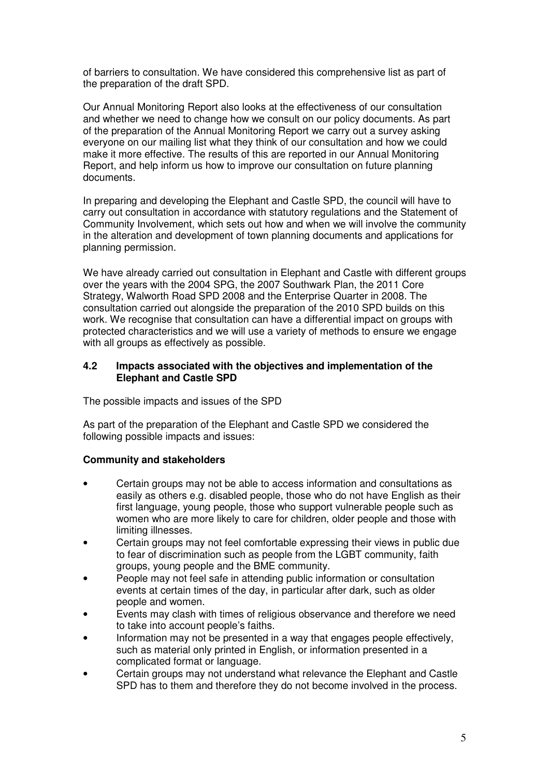of barriers to consultation. We have considered this comprehensive list as part of the preparation of the draft SPD.

Our Annual Monitoring Report also looks at the effectiveness of our consultation and whether we need to change how we consult on our policy documents. As part of the preparation of the Annual Monitoring Report we carry out a survey asking everyone on our mailing list what they think of our consultation and how we could make it more effective. The results of this are reported in our Annual Monitoring Report, and help inform us how to improve our consultation on future planning documents.

In preparing and developing the Elephant and Castle SPD, the council will have to carry out consultation in accordance with statutory regulations and the Statement of Community Involvement, which sets out how and when we will involve the community in the alteration and development of town planning documents and applications for planning permission.

We have already carried out consultation in Elephant and Castle with different groups over the years with the 2004 SPG, the 2007 Southwark Plan, the 2011 Core Strategy, Walworth Road SPD 2008 and the Enterprise Quarter in 2008. The consultation carried out alongside the preparation of the 2010 SPD builds on this work. We recognise that consultation can have a differential impact on groups with protected characteristics and we will use a variety of methods to ensure we engage with all groups as effectively as possible.

#### **4.2 Impacts associated with the objectives and implementation of the Elephant and Castle SPD**

The possible impacts and issues of the SPD

As part of the preparation of the Elephant and Castle SPD we considered the following possible impacts and issues:

#### **Community and stakeholders**

- Certain groups may not be able to access information and consultations as easily as others e.g. disabled people, those who do not have English as their first language, young people, those who support vulnerable people such as women who are more likely to care for children, older people and those with limiting illnesses.
- Certain groups may not feel comfortable expressing their views in public due to fear of discrimination such as people from the LGBT community, faith groups, young people and the BME community.
- People may not feel safe in attending public information or consultation events at certain times of the day, in particular after dark, such as older people and women.
- Events may clash with times of religious observance and therefore we need to take into account people's faiths.
- Information may not be presented in a way that engages people effectively, such as material only printed in English, or information presented in a complicated format or language.
- Certain groups may not understand what relevance the Elephant and Castle SPD has to them and therefore they do not become involved in the process.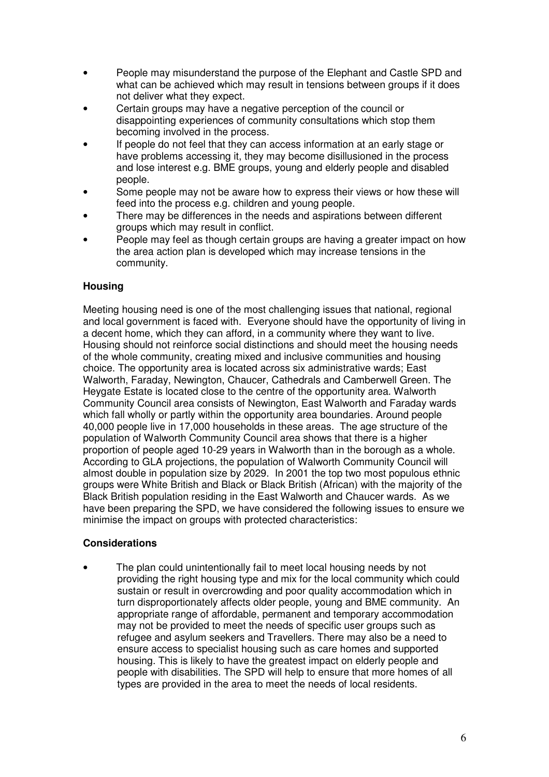- People may misunderstand the purpose of the Elephant and Castle SPD and what can be achieved which may result in tensions between groups if it does not deliver what they expect.
- Certain groups may have a negative perception of the council or disappointing experiences of community consultations which stop them becoming involved in the process.
- If people do not feel that they can access information at an early stage or have problems accessing it, they may become disillusioned in the process and lose interest e.g. BME groups, young and elderly people and disabled people.
- Some people may not be aware how to express their views or how these will feed into the process e.g. children and young people.
- There may be differences in the needs and aspirations between different groups which may result in conflict.
- People may feel as though certain groups are having a greater impact on how the area action plan is developed which may increase tensions in the community.

### **Housing**

Meeting housing need is one of the most challenging issues that national, regional and local government is faced with. Everyone should have the opportunity of living in a decent home, which they can afford, in a community where they want to live. Housing should not reinforce social distinctions and should meet the housing needs of the whole community, creating mixed and inclusive communities and housing choice. The opportunity area is located across six administrative wards; East Walworth, Faraday, Newington, Chaucer, Cathedrals and Camberwell Green. The Heygate Estate is located close to the centre of the opportunity area. Walworth Community Council area consists of Newington, East Walworth and Faraday wards which fall wholly or partly within the opportunity area boundaries. Around people 40,000 people live in 17,000 households in these areas. The age structure of the population of Walworth Community Council area shows that there is a higher proportion of people aged 10-29 years in Walworth than in the borough as a whole. According to GLA projections, the population of Walworth Community Council will almost double in population size by 2029. In 2001 the top two most populous ethnic groups were White British and Black or Black British (African) with the majority of the Black British population residing in the East Walworth and Chaucer wards. As we have been preparing the SPD, we have considered the following issues to ensure we minimise the impact on groups with protected characteristics:

### **Considerations**

• The plan could unintentionally fail to meet local housing needs by not providing the right housing type and mix for the local community which could sustain or result in overcrowding and poor quality accommodation which in turn disproportionately affects older people, young and BME community. An appropriate range of affordable, permanent and temporary accommodation may not be provided to meet the needs of specific user groups such as refugee and asylum seekers and Travellers. There may also be a need to ensure access to specialist housing such as care homes and supported housing. This is likely to have the greatest impact on elderly people and people with disabilities. The SPD will help to ensure that more homes of all types are provided in the area to meet the needs of local residents.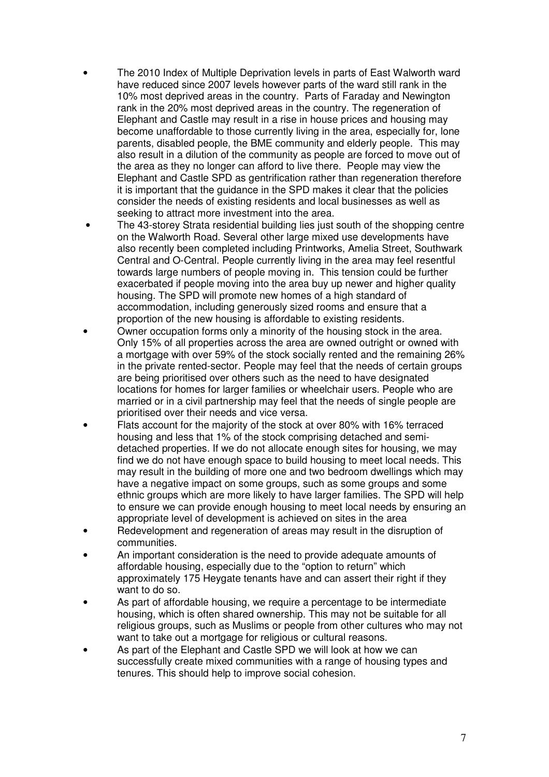- The 2010 Index of Multiple Deprivation levels in parts of East Walworth ward have reduced since 2007 levels however parts of the ward still rank in the 10% most deprived areas in the country. Parts of Faraday and Newington rank in the 20% most deprived areas in the country. The regeneration of Elephant and Castle may result in a rise in house prices and housing may become unaffordable to those currently living in the area, especially for, lone parents, disabled people, the BME community and elderly people. This may also result in a dilution of the community as people are forced to move out of the area as they no longer can afford to live there. People may view the Elephant and Castle SPD as gentrification rather than regeneration therefore it is important that the guidance in the SPD makes it clear that the policies consider the needs of existing residents and local businesses as well as seeking to attract more investment into the area.
- The 43-storey Strata residential building lies just south of the shopping centre on the Walworth Road. Several other large mixed use developments have also recently been completed including Printworks, Amelia Street, Southwark Central and O-Central. People currently living in the area may feel resentful towards large numbers of people moving in. This tension could be further exacerbated if people moving into the area buy up newer and higher quality housing. The SPD will promote new homes of a high standard of accommodation, including generously sized rooms and ensure that a proportion of the new housing is affordable to existing residents.
- Owner occupation forms only a minority of the housing stock in the area. Only 15% of all properties across the area are owned outright or owned with a mortgage with over 59% of the stock socially rented and the remaining 26% in the private rented-sector. People may feel that the needs of certain groups are being prioritised over others such as the need to have designated locations for homes for larger families or wheelchair users. People who are married or in a civil partnership may feel that the needs of single people are prioritised over their needs and vice versa.
- Flats account for the majority of the stock at over 80% with 16% terraced housing and less that 1% of the stock comprising detached and semidetached properties. If we do not allocate enough sites for housing, we may find we do not have enough space to build housing to meet local needs. This may result in the building of more one and two bedroom dwellings which may have a negative impact on some groups, such as some groups and some ethnic groups which are more likely to have larger families. The SPD will help to ensure we can provide enough housing to meet local needs by ensuring an appropriate level of development is achieved on sites in the area
- Redevelopment and regeneration of areas may result in the disruption of communities.
- An important consideration is the need to provide adequate amounts of affordable housing, especially due to the "option to return" which approximately 175 Heygate tenants have and can assert their right if they want to do so.
- As part of affordable housing, we require a percentage to be intermediate housing, which is often shared ownership. This may not be suitable for all religious groups, such as Muslims or people from other cultures who may not want to take out a mortgage for religious or cultural reasons.
- As part of the Elephant and Castle SPD we will look at how we can successfully create mixed communities with a range of housing types and tenures. This should help to improve social cohesion.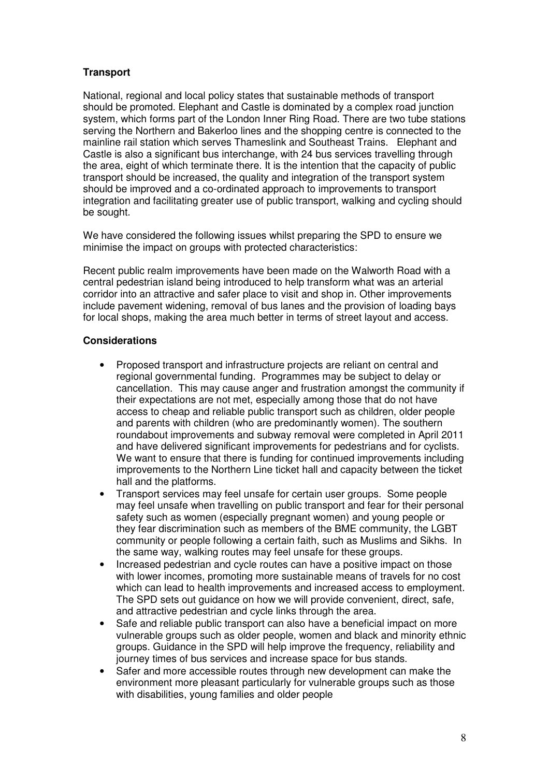### **Transport**

National, regional and local policy states that sustainable methods of transport should be promoted. Elephant and Castle is dominated by a complex road junction system, which forms part of the London Inner Ring Road. There are two tube stations serving the Northern and Bakerloo lines and the shopping centre is connected to the mainline rail station which serves Thameslink and Southeast Trains. Elephant and Castle is also a significant bus interchange, with 24 bus services travelling through the area, eight of which terminate there. It is the intention that the capacity of public transport should be increased, the quality and integration of the transport system should be improved and a co-ordinated approach to improvements to transport integration and facilitating greater use of public transport, walking and cycling should be sought.

We have considered the following issues whilst preparing the SPD to ensure we minimise the impact on groups with protected characteristics:

Recent public realm improvements have been made on the Walworth Road with a central pedestrian island being introduced to help transform what was an arterial corridor into an attractive and safer place to visit and shop in. Other improvements include pavement widening, removal of bus lanes and the provision of loading bays for local shops, making the area much better in terms of street layout and access.

#### **Considerations**

- Proposed transport and infrastructure projects are reliant on central and regional governmental funding. Programmes may be subject to delay or cancellation. This may cause anger and frustration amongst the community if their expectations are not met, especially among those that do not have access to cheap and reliable public transport such as children, older people and parents with children (who are predominantly women). The southern roundabout improvements and subway removal were completed in April 2011 and have delivered significant improvements for pedestrians and for cyclists. We want to ensure that there is funding for continued improvements including improvements to the Northern Line ticket hall and capacity between the ticket hall and the platforms.
- Transport services may feel unsafe for certain user groups. Some people may feel unsafe when travelling on public transport and fear for their personal safety such as women (especially pregnant women) and young people or they fear discrimination such as members of the BME community, the LGBT community or people following a certain faith, such as Muslims and Sikhs. In the same way, walking routes may feel unsafe for these groups.
- Increased pedestrian and cycle routes can have a positive impact on those with lower incomes, promoting more sustainable means of travels for no cost which can lead to health improvements and increased access to employment. The SPD sets out guidance on how we will provide convenient, direct, safe, and attractive pedestrian and cycle links through the area.
- Safe and reliable public transport can also have a beneficial impact on more vulnerable groups such as older people, women and black and minority ethnic groups. Guidance in the SPD will help improve the frequency, reliability and journey times of bus services and increase space for bus stands.
- Safer and more accessible routes through new development can make the environment more pleasant particularly for vulnerable groups such as those with disabilities, young families and older people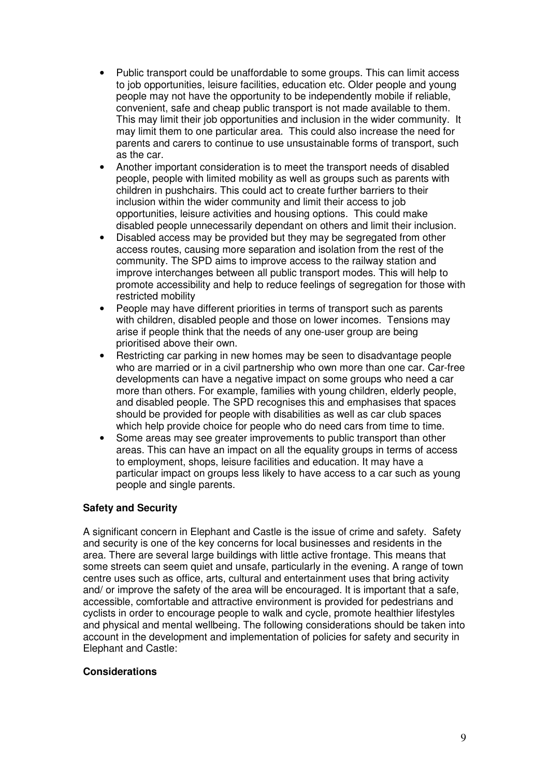- Public transport could be unaffordable to some groups. This can limit access to job opportunities, leisure facilities, education etc. Older people and young people may not have the opportunity to be independently mobile if reliable, convenient, safe and cheap public transport is not made available to them. This may limit their job opportunities and inclusion in the wider community. It may limit them to one particular area. This could also increase the need for parents and carers to continue to use unsustainable forms of transport, such as the car.
- Another important consideration is to meet the transport needs of disabled people, people with limited mobility as well as groups such as parents with children in pushchairs. This could act to create further barriers to their inclusion within the wider community and limit their access to job opportunities, leisure activities and housing options. This could make disabled people unnecessarily dependant on others and limit their inclusion.
- Disabled access may be provided but they may be segregated from other access routes, causing more separation and isolation from the rest of the community. The SPD aims to improve access to the railway station and improve interchanges between all public transport modes. This will help to promote accessibility and help to reduce feelings of segregation for those with restricted mobility
- People may have different priorities in terms of transport such as parents with children, disabled people and those on lower incomes. Tensions may arise if people think that the needs of any one-user group are being prioritised above their own.
- Restricting car parking in new homes may be seen to disadvantage people who are married or in a civil partnership who own more than one car. Car-free developments can have a negative impact on some groups who need a car more than others. For example, families with young children, elderly people, and disabled people. The SPD recognises this and emphasises that spaces should be provided for people with disabilities as well as car club spaces which help provide choice for people who do need cars from time to time.
- Some areas may see greater improvements to public transport than other areas. This can have an impact on all the equality groups in terms of access to employment, shops, leisure facilities and education. It may have a particular impact on groups less likely to have access to a car such as young people and single parents.

#### **Safety and Security**

A significant concern in Elephant and Castle is the issue of crime and safety. Safety and security is one of the key concerns for local businesses and residents in the area. There are several large buildings with little active frontage. This means that some streets can seem quiet and unsafe, particularly in the evening. A range of town centre uses such as office, arts, cultural and entertainment uses that bring activity and/ or improve the safety of the area will be encouraged. It is important that a safe, accessible, comfortable and attractive environment is provided for pedestrians and cyclists in order to encourage people to walk and cycle, promote healthier lifestyles and physical and mental wellbeing. The following considerations should be taken into account in the development and implementation of policies for safety and security in Elephant and Castle:

#### **Considerations**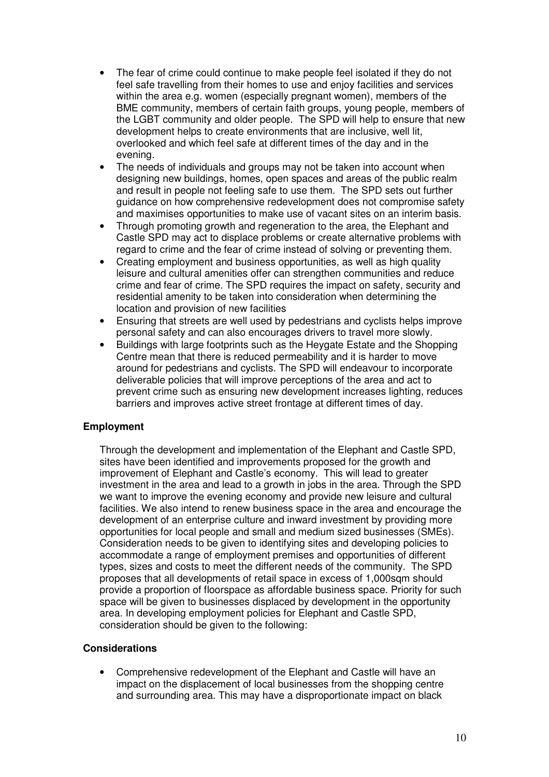- The fear of crime could continue to make people feel isolated if they do not feel safe travelling from their homes to use and enjoy facilities and services within the area e.g. women (especially pregnant women), members of the BME community, members of certain faith groups, young people, members of the LGBT community and older people. The SPD will help to ensure that new development helps to create environments that are inclusive, well lit, overlooked and which feel safe at different times of the day and in the evening.
- The needs of individuals and groups may not be taken into account when designing new buildings, homes, open spaces and areas of the public realm and result in people not feeling safe to use them. The SPD sets out further guidance on how comprehensive redevelopment does not compromise safety and maximises opportunities to make use of vacant sites on an interim basis.
- Through promoting growth and regeneration to the area, the Elephant and Castle SPD may act to displace problems or create alternative problems with regard to crime and the fear of crime instead of solving or preventing them.
- Creating employment and business opportunities, as well as high quality leisure and cultural amenities offer can strengthen communities and reduce crime and fear of crime. The SPD requires the impact on safety, security and residential amenity to be taken into consideration when determining the location and provision of new facilities
- Ensuring that streets are well used by pedestrians and cyclists helps improve personal safety and can also encourages drivers to travel more slowly.
- Buildings with large footprints such as the Heygate Estate and the Shopping Centre mean that there is reduced permeability and it is harder to move around for pedestrians and cyclists. The SPD will endeavour to incorporate deliverable policies that will improve perceptions of the area and act to prevent crime such as ensuring new development increases lighting, reduces barriers and improves active street frontage at different times of day.

#### **Employment**

Through the development and implementation of the Elephant and Castle SPD, sites have been identified and improvements proposed for the growth and improvement of Elephant and Castle's economy. This will lead to greater investment in the area and lead to a growth in jobs in the area. Through the SPD we want to improve the evening economy and provide new leisure and cultural facilities. We also intend to renew business space in the area and encourage the development of an enterprise culture and inward investment by providing more opportunities for local people and small and medium sized businesses (SMEs). Consideration needs to be given to identifying sites and developing policies to accommodate a range of employment premises and opportunities of different types, sizes and costs to meet the different needs of the community. The SPD proposes that all developments of retail space in excess of 1,000sqm should provide a proportion of floorspace as affordable business space. Priority for such space will be given to businesses displaced by development in the opportunity area. In developing employment policies for Elephant and Castle SPD, consideration should be given to the following:

#### **Considerations**

• Comprehensive redevelopment of the Elephant and Castle will have an impact on the displacement of local businesses from the shopping centre and surrounding area. This may have a disproportionate impact on black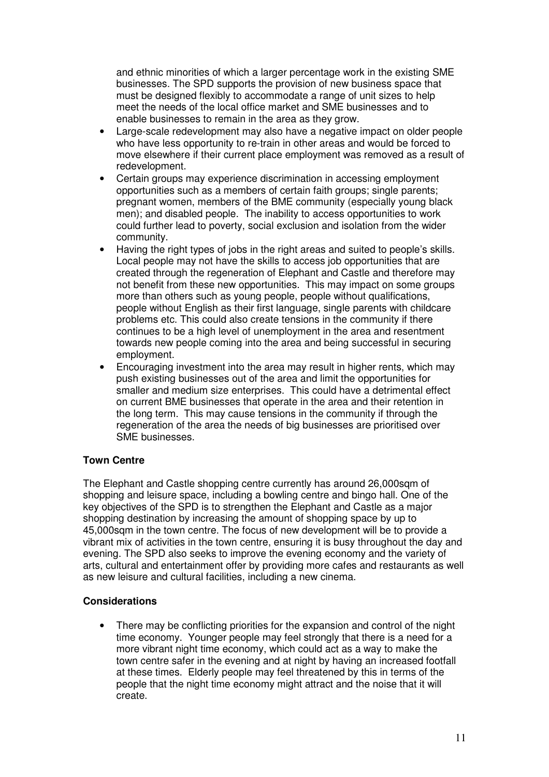and ethnic minorities of which a larger percentage work in the existing SME businesses. The SPD supports the provision of new business space that must be designed flexibly to accommodate a range of unit sizes to help meet the needs of the local office market and SME businesses and to enable businesses to remain in the area as they grow.

- Large-scale redevelopment may also have a negative impact on older people who have less opportunity to re-train in other areas and would be forced to move elsewhere if their current place employment was removed as a result of redevelopment.
- Certain groups may experience discrimination in accessing employment opportunities such as a members of certain faith groups; single parents; pregnant women, members of the BME community (especially young black men); and disabled people. The inability to access opportunities to work could further lead to poverty, social exclusion and isolation from the wider community.
- Having the right types of jobs in the right areas and suited to people's skills. Local people may not have the skills to access job opportunities that are created through the regeneration of Elephant and Castle and therefore may not benefit from these new opportunities. This may impact on some groups more than others such as young people, people without qualifications, people without English as their first language, single parents with childcare problems etc. This could also create tensions in the community if there continues to be a high level of unemployment in the area and resentment towards new people coming into the area and being successful in securing employment.
- Encouraging investment into the area may result in higher rents, which may push existing businesses out of the area and limit the opportunities for smaller and medium size enterprises. This could have a detrimental effect on current BME businesses that operate in the area and their retention in the long term. This may cause tensions in the community if through the regeneration of the area the needs of big businesses are prioritised over SME businesses.

### **Town Centre**

The Elephant and Castle shopping centre currently has around 26,000sqm of shopping and leisure space, including a bowling centre and bingo hall. One of the key objectives of the SPD is to strengthen the Elephant and Castle as a major shopping destination by increasing the amount of shopping space by up to 45,000sqm in the town centre. The focus of new development will be to provide a vibrant mix of activities in the town centre, ensuring it is busy throughout the day and evening. The SPD also seeks to improve the evening economy and the variety of arts, cultural and entertainment offer by providing more cafes and restaurants as well as new leisure and cultural facilities, including a new cinema.

### **Considerations**

• There may be conflicting priorities for the expansion and control of the night time economy. Younger people may feel strongly that there is a need for a more vibrant night time economy, which could act as a way to make the town centre safer in the evening and at night by having an increased footfall at these times. Elderly people may feel threatened by this in terms of the people that the night time economy might attract and the noise that it will create.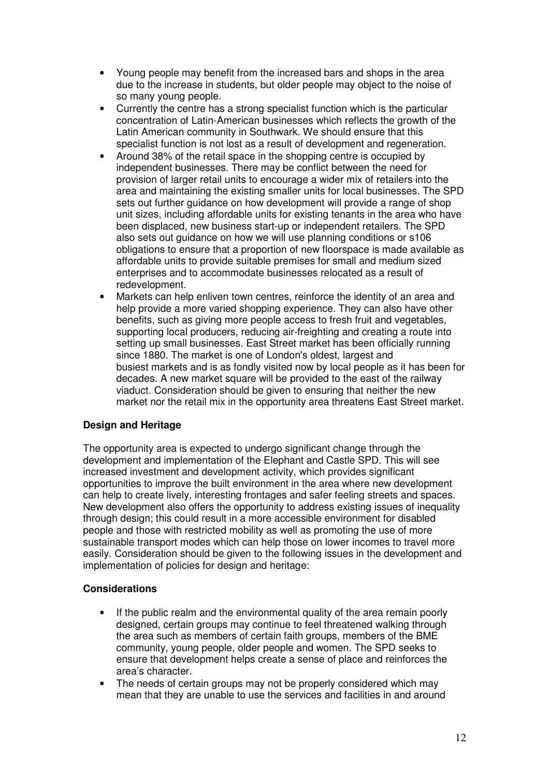- Young people may benefit from the increased bars and shops in the area due to the increase in students, but older people may object to the noise of so many young people.
- Currently the centre has a strong specialist function which is the particular concentration of Latin-American businesses which reflects the growth of the Latin American community in Southwark. We should ensure that this specialist function is not lost as a result of development and regeneration.
- Around 38% of the retail space in the shopping centre is occupied by independent businesses. There may be conflict between the need for provision of larger retail units to encourage a wider mix of retailers into the area and maintaining the existing smaller units for local businesses. The SPD sets out further guidance on how development will provide a range of shop unit sizes, including affordable units for existing tenants in the area who have been displaced, new business start-up or independent retailers. The SPD also sets out guidance on how we will use planning conditions or s106 obligations to ensure that a proportion of new floorspace is made available as affordable units to provide suitable premises for small and medium sized enterprises and to accommodate businesses relocated as a result of redevelopment.
- Markets can help enliven town centres, reinforce the identity of an area and help provide a more varied shopping experience. They can also have other benefits, such as giving more people access to fresh fruit and vegetables, supporting local producers, reducing air-freighting and creating a route into setting up small businesses. East Street market has been officially running since 1880. The market is one of London's oldest, largest and busiest markets and is as fondly visited now by local people as it has been for decades. A new market square will be provided to the east of the railway viaduct. Consideration should be given to ensuring that neither the new market nor the retail mix in the opportunity area threatens East Street market.

### **Design and Heritage**

The opportunity area is expected to undergo significant change through the development and implementation of the Elephant and Castle SPD. This will see increased investment and development activity, which provides significant opportunities to improve the built environment in the area where new development can help to create lively, interesting frontages and safer feeling streets and spaces. New development also offers the opportunity to address existing issues of inequality through design; this could result in a more accessible environment for disabled people and those with restricted mobility as well as promoting the use of more sustainable transport modes which can help those on lower incomes to travel more easily. Consideration should be given to the following issues in the development and implementation of policies for design and heritage:

#### **Considerations**

- If the public realm and the environmental quality of the area remain poorly designed, certain groups may continue to feel threatened walking through the area such as members of certain faith groups, members of the BME community, young people, older people and women. The SPD seeks to ensure that development helps create a sense of place and reinforces the area's character.
- The needs of certain groups may not be properly considered which may mean that they are unable to use the services and facilities in and around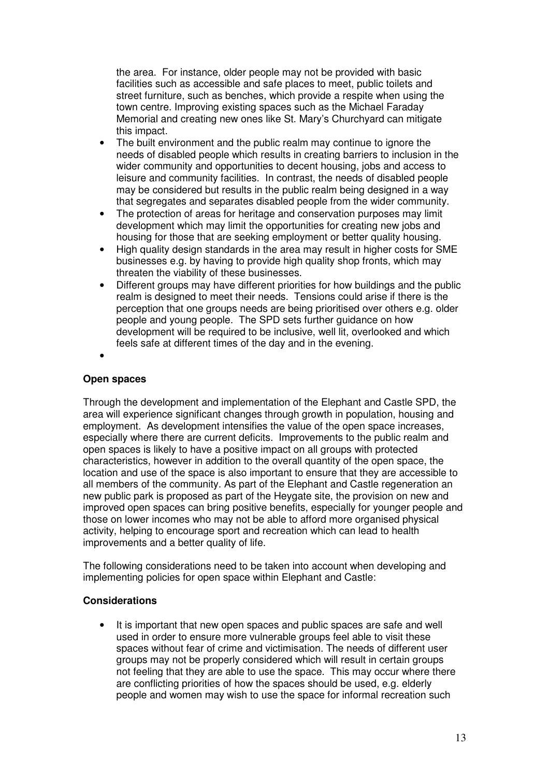the area. For instance, older people may not be provided with basic facilities such as accessible and safe places to meet, public toilets and street furniture, such as benches, which provide a respite when using the town centre. Improving existing spaces such as the Michael Faraday Memorial and creating new ones like St. Mary's Churchyard can mitigate this impact.

- The built environment and the public realm may continue to ignore the needs of disabled people which results in creating barriers to inclusion in the wider community and opportunities to decent housing, jobs and access to leisure and community facilities. In contrast, the needs of disabled people may be considered but results in the public realm being designed in a way that segregates and separates disabled people from the wider community.
- The protection of areas for heritage and conservation purposes may limit development which may limit the opportunities for creating new jobs and housing for those that are seeking employment or better quality housing.
- High quality design standards in the area may result in higher costs for SME businesses e.g. by having to provide high quality shop fronts, which may threaten the viability of these businesses.
- Different groups may have different priorities for how buildings and the public realm is designed to meet their needs. Tensions could arise if there is the perception that one groups needs are being prioritised over others e.g. older people and young people. The SPD sets further guidance on how development will be required to be inclusive, well lit, overlooked and which feels safe at different times of the day and in the evening.
- •

#### **Open spaces**

Through the development and implementation of the Elephant and Castle SPD, the area will experience significant changes through growth in population, housing and employment. As development intensifies the value of the open space increases, especially where there are current deficits. Improvements to the public realm and open spaces is likely to have a positive impact on all groups with protected characteristics, however in addition to the overall quantity of the open space, the location and use of the space is also important to ensure that they are accessible to all members of the community. As part of the Elephant and Castle regeneration an new public park is proposed as part of the Heygate site, the provision on new and improved open spaces can bring positive benefits, especially for younger people and those on lower incomes who may not be able to afford more organised physical activity, helping to encourage sport and recreation which can lead to health improvements and a better quality of life.

The following considerations need to be taken into account when developing and implementing policies for open space within Elephant and Castle:

#### **Considerations**

It is important that new open spaces and public spaces are safe and well used in order to ensure more vulnerable groups feel able to visit these spaces without fear of crime and victimisation. The needs of different user groups may not be properly considered which will result in certain groups not feeling that they are able to use the space. This may occur where there are conflicting priorities of how the spaces should be used, e.g. elderly people and women may wish to use the space for informal recreation such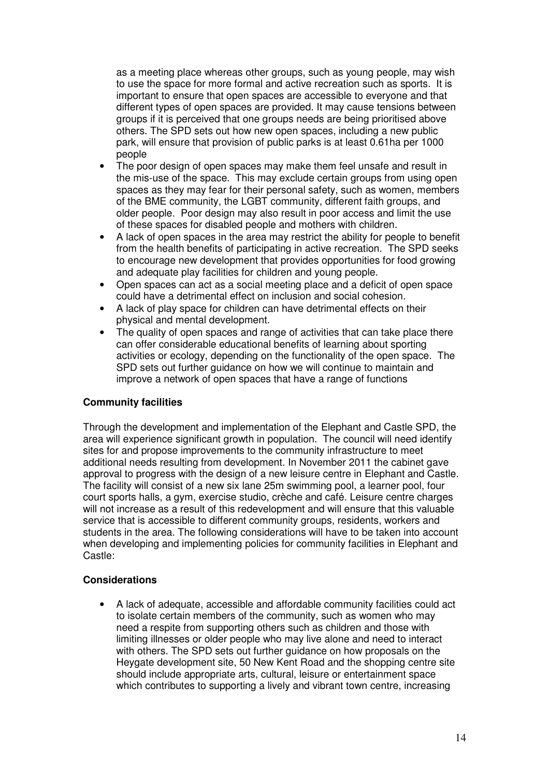as a meeting place whereas other groups, such as young people, may wish to use the space for more formal and active recreation such as sports. It is important to ensure that open spaces are accessible to everyone and that different types of open spaces are provided. It may cause tensions between groups if it is perceived that one groups needs are being prioritised above others. The SPD sets out how new open spaces, including a new public park, will ensure that provision of public parks is at least 0.61ha per 1000 people

- The poor design of open spaces may make them feel unsafe and result in the mis-use of the space. This may exclude certain groups from using open spaces as they may fear for their personal safety, such as women, members of the BME community, the LGBT community, different faith groups, and older people. Poor design may also result in poor access and limit the use of these spaces for disabled people and mothers with children.
- A lack of open spaces in the area may restrict the ability for people to benefit from the health benefits of participating in active recreation. The SPD seeks to encourage new development that provides opportunities for food growing and adequate play facilities for children and young people.
- Open spaces can act as a social meeting place and a deficit of open space could have a detrimental effect on inclusion and social cohesion.
- A lack of play space for children can have detrimental effects on their physical and mental development.
- The quality of open spaces and range of activities that can take place there can offer considerable educational benefits of learning about sporting activities or ecology, depending on the functionality of the open space. The SPD sets out further guidance on how we will continue to maintain and improve a network of open spaces that have a range of functions

### **Community facilities**

Through the development and implementation of the Elephant and Castle SPD, the area will experience significant growth in population. The council will need identify sites for and propose improvements to the community infrastructure to meet additional needs resulting from development. In November 2011 the cabinet gave approval to progress with the design of a new leisure centre in Elephant and Castle. The facility will consist of a new six lane 25m swimming pool, a learner pool, four court sports halls, a gym, exercise studio, crèche and café. Leisure centre charges will not increase as a result of this redevelopment and will ensure that this valuable service that is accessible to different community groups, residents, workers and students in the area. The following considerations will have to be taken into account when developing and implementing policies for community facilities in Elephant and Castle:

#### **Considerations**

• A lack of adequate, accessible and affordable community facilities could act to isolate certain members of the community, such as women who may need a respite from supporting others such as children and those with limiting illnesses or older people who may live alone and need to interact with others. The SPD sets out further guidance on how proposals on the Heygate development site, 50 New Kent Road and the shopping centre site should include appropriate arts, cultural, leisure or entertainment space which contributes to supporting a lively and vibrant town centre, increasing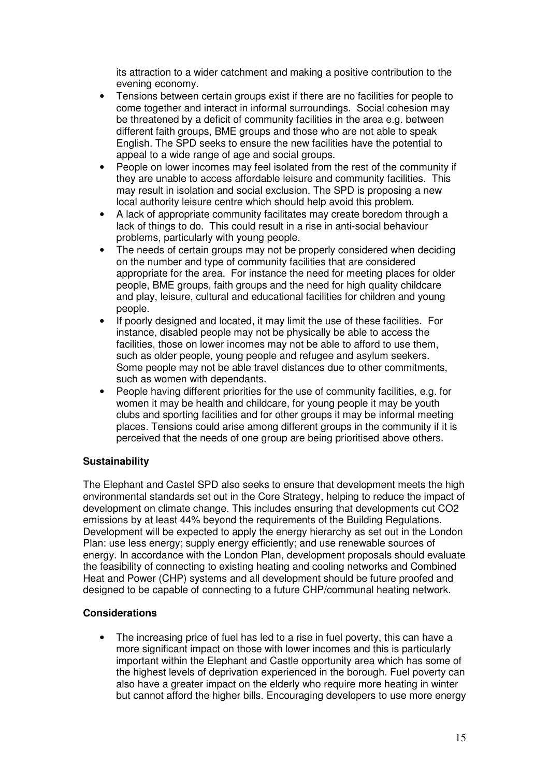its attraction to a wider catchment and making a positive contribution to the evening economy.

- Tensions between certain groups exist if there are no facilities for people to come together and interact in informal surroundings. Social cohesion may be threatened by a deficit of community facilities in the area e.g. between different faith groups, BME groups and those who are not able to speak English. The SPD seeks to ensure the new facilities have the potential to appeal to a wide range of age and social groups.
- People on lower incomes may feel isolated from the rest of the community if they are unable to access affordable leisure and community facilities. This may result in isolation and social exclusion. The SPD is proposing a new local authority leisure centre which should help avoid this problem.
- A lack of appropriate community facilitates may create boredom through a lack of things to do. This could result in a rise in anti-social behaviour problems, particularly with young people.
- The needs of certain groups may not be properly considered when deciding on the number and type of community facilities that are considered appropriate for the area. For instance the need for meeting places for older people, BME groups, faith groups and the need for high quality childcare and play, leisure, cultural and educational facilities for children and young people.
- If poorly designed and located, it may limit the use of these facilities. For instance, disabled people may not be physically be able to access the facilities, those on lower incomes may not be able to afford to use them, such as older people, young people and refugee and asylum seekers. Some people may not be able travel distances due to other commitments, such as women with dependants.
- People having different priorities for the use of community facilities, e.g. for women it may be health and childcare, for young people it may be youth clubs and sporting facilities and for other groups it may be informal meeting places. Tensions could arise among different groups in the community if it is perceived that the needs of one group are being prioritised above others.

#### **Sustainability**

The Elephant and Castel SPD also seeks to ensure that development meets the high environmental standards set out in the Core Strategy, helping to reduce the impact of development on climate change. This includes ensuring that developments cut CO2 emissions by at least 44% beyond the requirements of the Building Regulations. Development will be expected to apply the energy hierarchy as set out in the London Plan: use less energy; supply energy efficiently; and use renewable sources of energy. In accordance with the London Plan, development proposals should evaluate the feasibility of connecting to existing heating and cooling networks and Combined Heat and Power (CHP) systems and all development should be future proofed and designed to be capable of connecting to a future CHP/communal heating network.

#### **Considerations**

The increasing price of fuel has led to a rise in fuel poverty, this can have a more significant impact on those with lower incomes and this is particularly important within the Elephant and Castle opportunity area which has some of the highest levels of deprivation experienced in the borough. Fuel poverty can also have a greater impact on the elderly who require more heating in winter but cannot afford the higher bills. Encouraging developers to use more energy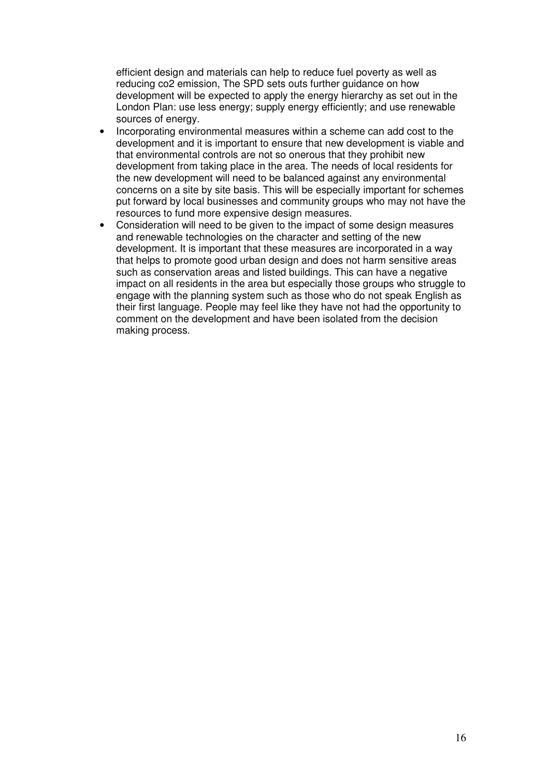efficient design and materials can help to reduce fuel poverty as well as reducing co2 emission, The SPD sets outs further guidance on how development will be expected to apply the energy hierarchy as set out in the London Plan: use less energy; supply energy efficiently; and use renewable sources of energy.

- Incorporating environmental measures within a scheme can add cost to the development and it is important to ensure that new development is viable and that environmental controls are not so onerous that they prohibit new development from taking place in the area. The needs of local residents for the new development will need to be balanced against any environmental concerns on a site by site basis. This will be especially important for schemes put forward by local businesses and community groups who may not have the resources to fund more expensive design measures.
- Consideration will need to be given to the impact of some design measures and renewable technologies on the character and setting of the new development. It is important that these measures are incorporated in a way that helps to promote good urban design and does not harm sensitive areas such as conservation areas and listed buildings. This can have a negative impact on all residents in the area but especially those groups who struggle to engage with the planning system such as those who do not speak English as their first language. People may feel like they have not had the opportunity to comment on the development and have been isolated from the decision making process.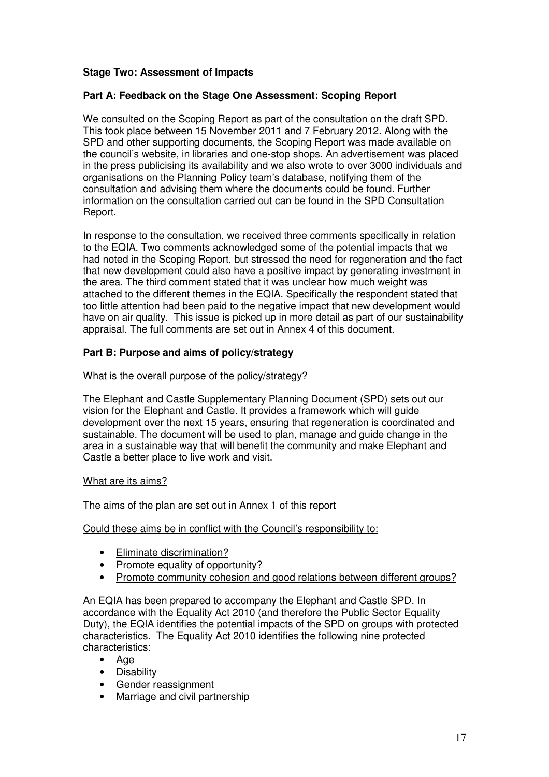### **Stage Two: Assessment of Impacts**

#### **Part A: Feedback on the Stage One Assessment: Scoping Report**

We consulted on the Scoping Report as part of the consultation on the draft SPD. This took place between 15 November 2011 and 7 February 2012. Along with the SPD and other supporting documents, the Scoping Report was made available on the council's website, in libraries and one-stop shops. An advertisement was placed in the press publicising its availability and we also wrote to over 3000 individuals and organisations on the Planning Policy team's database, notifying them of the consultation and advising them where the documents could be found. Further information on the consultation carried out can be found in the SPD Consultation Report.

In response to the consultation, we received three comments specifically in relation to the EQIA. Two comments acknowledged some of the potential impacts that we had noted in the Scoping Report, but stressed the need for regeneration and the fact that new development could also have a positive impact by generating investment in the area. The third comment stated that it was unclear how much weight was attached to the different themes in the EQIA. Specifically the respondent stated that too little attention had been paid to the negative impact that new development would have on air quality. This issue is picked up in more detail as part of our sustainability appraisal. The full comments are set out in Annex 4 of this document.

#### **Part B: Purpose and aims of policy/strategy**

#### What is the overall purpose of the policy/strategy?

The Elephant and Castle Supplementary Planning Document (SPD) sets out our vision for the Elephant and Castle. It provides a framework which will guide development over the next 15 years, ensuring that regeneration is coordinated and sustainable. The document will be used to plan, manage and guide change in the area in a sustainable way that will benefit the community and make Elephant and Castle a better place to live work and visit.

#### What are its aims?

The aims of the plan are set out in Annex 1 of this report

#### Could these aims be in conflict with the Council's responsibility to:

- Eliminate discrimination?
- Promote equality of opportunity?
- Promote community cohesion and good relations between different groups?

An EQIA has been prepared to accompany the Elephant and Castle SPD. In accordance with the Equality Act 2010 (and therefore the Public Sector Equality Duty), the EQIA identifies the potential impacts of the SPD on groups with protected characteristics. The Equality Act 2010 identifies the following nine protected characteristics:

- Age
- Disability
- Gender reassignment
- Marriage and civil partnership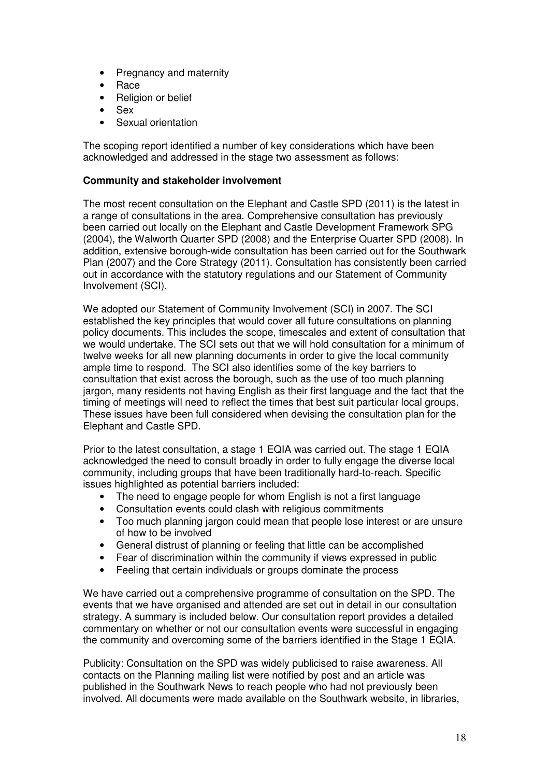- Pregnancy and maternity
- Race
- Religion or belief
- Sex
- Sexual orientation

The scoping report identified a number of key considerations which have been acknowledged and addressed in the stage two assessment as follows:

#### **Community and stakeholder involvement**

The most recent consultation on the Elephant and Castle SPD (2011) is the latest in a range of consultations in the area. Comprehensive consultation has previously been carried out locally on the Elephant and Castle Development Framework SPG (2004), the Walworth Quarter SPD (2008) and the Enterprise Quarter SPD (2008). In addition, extensive borough-wide consultation has been carried out for the Southwark Plan (2007) and the Core Strategy (2011). Consultation has consistently been carried out in accordance with the statutory regulations and our Statement of Community Involvement (SCI).

We adopted our Statement of Community Involvement (SCI) in 2007. The SCI established the key principles that would cover all future consultations on planning policy documents. This includes the scope, timescales and extent of consultation that we would undertake. The SCI sets out that we will hold consultation for a minimum of twelve weeks for all new planning documents in order to give the local community ample time to respond. The SCI also identifies some of the key barriers to consultation that exist across the borough, such as the use of too much planning jargon, many residents not having English as their first language and the fact that the timing of meetings will need to reflect the times that best suit particular local groups. These issues have been full considered when devising the consultation plan for the Elephant and Castle SPD.

Prior to the latest consultation, a stage 1 EQIA was carried out. The stage 1 EQIA acknowledged the need to consult broadly in order to fully engage the diverse local community, including groups that have been traditionally hard-to-reach. Specific issues highlighted as potential barriers included:

- The need to engage people for whom English is not a first language
- Consultation events could clash with religious commitments
- Too much planning jargon could mean that people lose interest or are unsure of how to be involved
- General distrust of planning or feeling that little can be accomplished
- Fear of discrimination within the community if views expressed in public
- Feeling that certain individuals or groups dominate the process

We have carried out a comprehensive programme of consultation on the SPD. The events that we have organised and attended are set out in detail in our consultation strategy. A summary is included below. Our consultation report provides a detailed commentary on whether or not our consultation events were successful in engaging the community and overcoming some of the barriers identified in the Stage 1 EQIA.

Publicity: Consultation on the SPD was widely publicised to raise awareness. All contacts on the Planning mailing list were notified by post and an article was published in the Southwark News to reach people who had not previously been involved. All documents were made available on the Southwark website, in libraries,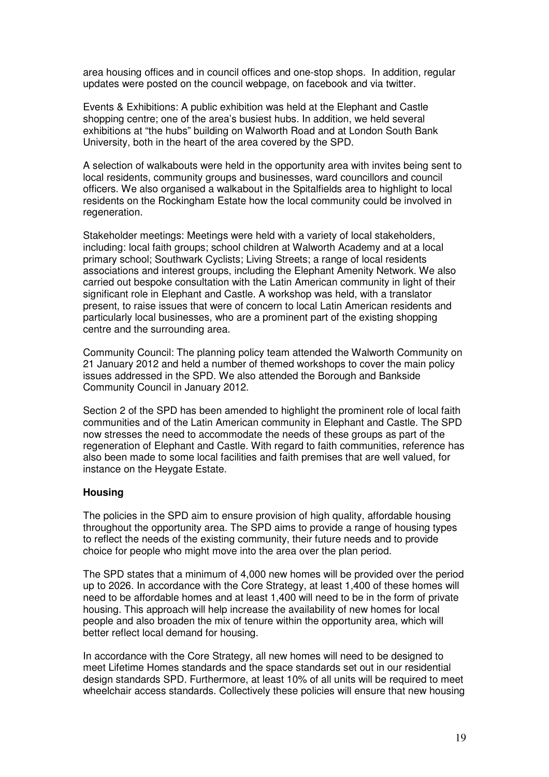area housing offices and in council offices and one-stop shops. In addition, regular updates were posted on the council webpage, on facebook and via twitter.

Events & Exhibitions: A public exhibition was held at the Elephant and Castle shopping centre; one of the area's busiest hubs. In addition, we held several exhibitions at "the hubs" building on Walworth Road and at London South Bank University, both in the heart of the area covered by the SPD.

A selection of walkabouts were held in the opportunity area with invites being sent to local residents, community groups and businesses, ward councillors and council officers. We also organised a walkabout in the Spitalfields area to highlight to local residents on the Rockingham Estate how the local community could be involved in regeneration.

Stakeholder meetings: Meetings were held with a variety of local stakeholders, including: local faith groups; school children at Walworth Academy and at a local primary school; Southwark Cyclists; Living Streets; a range of local residents associations and interest groups, including the Elephant Amenity Network. We also carried out bespoke consultation with the Latin American community in light of their significant role in Elephant and Castle. A workshop was held, with a translator present, to raise issues that were of concern to local Latin American residents and particularly local businesses, who are a prominent part of the existing shopping centre and the surrounding area.

Community Council: The planning policy team attended the Walworth Community on 21 January 2012 and held a number of themed workshops to cover the main policy issues addressed in the SPD. We also attended the Borough and Bankside Community Council in January 2012.

Section 2 of the SPD has been amended to highlight the prominent role of local faith communities and of the Latin American community in Elephant and Castle. The SPD now stresses the need to accommodate the needs of these groups as part of the regeneration of Elephant and Castle. With regard to faith communities, reference has also been made to some local facilities and faith premises that are well valued, for instance on the Heygate Estate.

#### **Housing**

The policies in the SPD aim to ensure provision of high quality, affordable housing throughout the opportunity area. The SPD aims to provide a range of housing types to reflect the needs of the existing community, their future needs and to provide choice for people who might move into the area over the plan period.

The SPD states that a minimum of 4,000 new homes will be provided over the period up to 2026. In accordance with the Core Strategy, at least 1,400 of these homes will need to be affordable homes and at least 1,400 will need to be in the form of private housing. This approach will help increase the availability of new homes for local people and also broaden the mix of tenure within the opportunity area, which will better reflect local demand for housing.

In accordance with the Core Strategy, all new homes will need to be designed to meet Lifetime Homes standards and the space standards set out in our residential design standards SPD. Furthermore, at least 10% of all units will be required to meet wheelchair access standards. Collectively these policies will ensure that new housing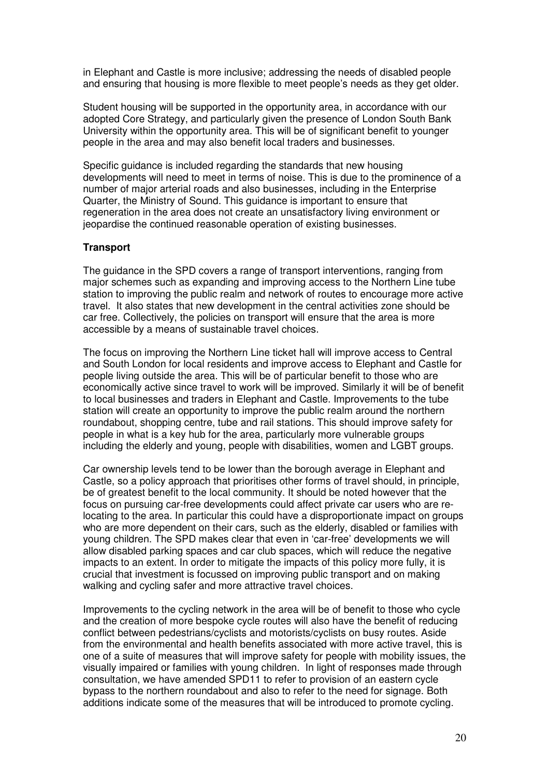in Elephant and Castle is more inclusive; addressing the needs of disabled people and ensuring that housing is more flexible to meet people's needs as they get older.

Student housing will be supported in the opportunity area, in accordance with our adopted Core Strategy, and particularly given the presence of London South Bank University within the opportunity area. This will be of significant benefit to younger people in the area and may also benefit local traders and businesses.

Specific guidance is included regarding the standards that new housing developments will need to meet in terms of noise. This is due to the prominence of a number of major arterial roads and also businesses, including in the Enterprise Quarter, the Ministry of Sound. This guidance is important to ensure that regeneration in the area does not create an unsatisfactory living environment or jeopardise the continued reasonable operation of existing businesses.

#### **Transport**

The guidance in the SPD covers a range of transport interventions, ranging from major schemes such as expanding and improving access to the Northern Line tube station to improving the public realm and network of routes to encourage more active travel. It also states that new development in the central activities zone should be car free. Collectively, the policies on transport will ensure that the area is more accessible by a means of sustainable travel choices.

The focus on improving the Northern Line ticket hall will improve access to Central and South London for local residents and improve access to Elephant and Castle for people living outside the area. This will be of particular benefit to those who are economically active since travel to work will be improved. Similarly it will be of benefit to local businesses and traders in Elephant and Castle. Improvements to the tube station will create an opportunity to improve the public realm around the northern roundabout, shopping centre, tube and rail stations. This should improve safety for people in what is a key hub for the area, particularly more vulnerable groups including the elderly and young, people with disabilities, women and LGBT groups.

Car ownership levels tend to be lower than the borough average in Elephant and Castle, so a policy approach that prioritises other forms of travel should, in principle, be of greatest benefit to the local community. It should be noted however that the focus on pursuing car-free developments could affect private car users who are relocating to the area. In particular this could have a disproportionate impact on groups who are more dependent on their cars, such as the elderly, disabled or families with young children. The SPD makes clear that even in 'car-free' developments we will allow disabled parking spaces and car club spaces, which will reduce the negative impacts to an extent. In order to mitigate the impacts of this policy more fully, it is crucial that investment is focussed on improving public transport and on making walking and cycling safer and more attractive travel choices.

Improvements to the cycling network in the area will be of benefit to those who cycle and the creation of more bespoke cycle routes will also have the benefit of reducing conflict between pedestrians/cyclists and motorists/cyclists on busy routes. Aside from the environmental and health benefits associated with more active travel, this is one of a suite of measures that will improve safety for people with mobility issues, the visually impaired or families with young children. In light of responses made through consultation, we have amended SPD11 to refer to provision of an eastern cycle bypass to the northern roundabout and also to refer to the need for signage. Both additions indicate some of the measures that will be introduced to promote cycling.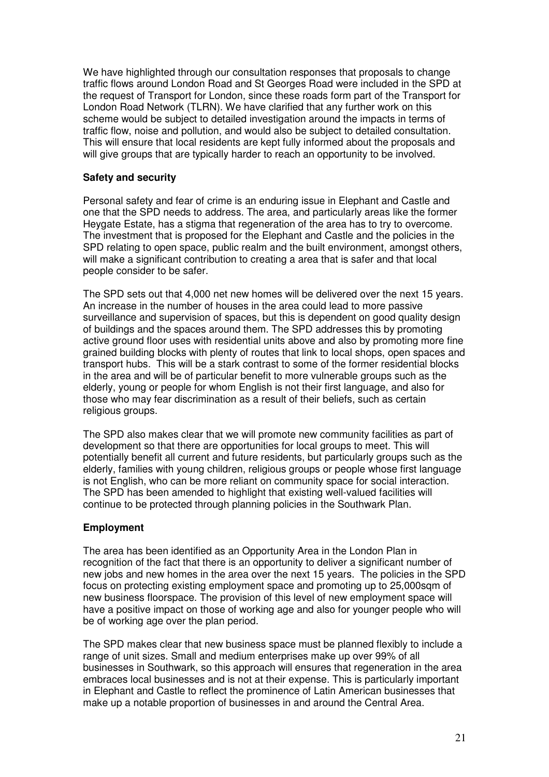We have highlighted through our consultation responses that proposals to change traffic flows around London Road and St Georges Road were included in the SPD at the request of Transport for London, since these roads form part of the Transport for London Road Network (TLRN). We have clarified that any further work on this scheme would be subject to detailed investigation around the impacts in terms of traffic flow, noise and pollution, and would also be subject to detailed consultation. This will ensure that local residents are kept fully informed about the proposals and will give groups that are typically harder to reach an opportunity to be involved.

#### **Safety and security**

Personal safety and fear of crime is an enduring issue in Elephant and Castle and one that the SPD needs to address. The area, and particularly areas like the former Heygate Estate, has a stigma that regeneration of the area has to try to overcome. The investment that is proposed for the Elephant and Castle and the policies in the SPD relating to open space, public realm and the built environment, amongst others, will make a significant contribution to creating a area that is safer and that local people consider to be safer.

The SPD sets out that 4,000 net new homes will be delivered over the next 15 years. An increase in the number of houses in the area could lead to more passive surveillance and supervision of spaces, but this is dependent on good quality design of buildings and the spaces around them. The SPD addresses this by promoting active ground floor uses with residential units above and also by promoting more fine grained building blocks with plenty of routes that link to local shops, open spaces and transport hubs. This will be a stark contrast to some of the former residential blocks in the area and will be of particular benefit to more vulnerable groups such as the elderly, young or people for whom English is not their first language, and also for those who may fear discrimination as a result of their beliefs, such as certain religious groups.

The SPD also makes clear that we will promote new community facilities as part of development so that there are opportunities for local groups to meet. This will potentially benefit all current and future residents, but particularly groups such as the elderly, families with young children, religious groups or people whose first language is not English, who can be more reliant on community space for social interaction. The SPD has been amended to highlight that existing well-valued facilities will continue to be protected through planning policies in the Southwark Plan.

#### **Employment**

The area has been identified as an Opportunity Area in the London Plan in recognition of the fact that there is an opportunity to deliver a significant number of new jobs and new homes in the area over the next 15 years. The policies in the SPD focus on protecting existing employment space and promoting up to 25,000sqm of new business floorspace. The provision of this level of new employment space will have a positive impact on those of working age and also for younger people who will be of working age over the plan period.

The SPD makes clear that new business space must be planned flexibly to include a range of unit sizes. Small and medium enterprises make up over 99% of all businesses in Southwark, so this approach will ensures that regeneration in the area embraces local businesses and is not at their expense. This is particularly important in Elephant and Castle to reflect the prominence of Latin American businesses that make up a notable proportion of businesses in and around the Central Area.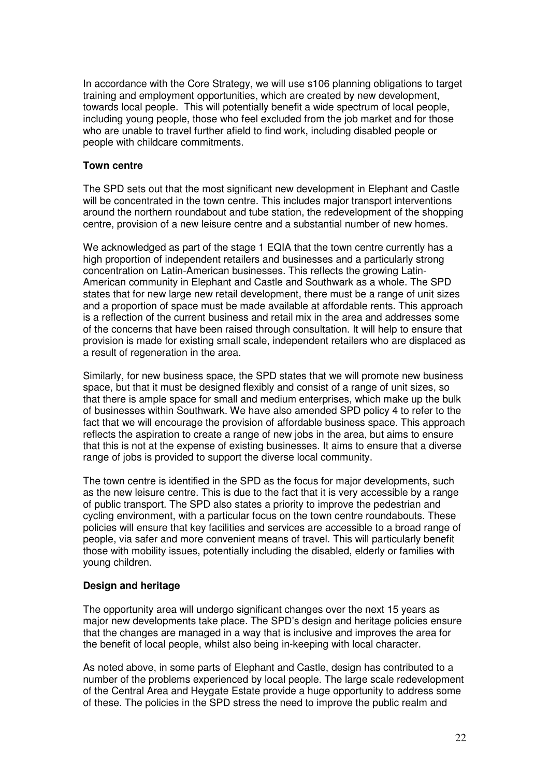In accordance with the Core Strategy, we will use s106 planning obligations to target training and employment opportunities, which are created by new development, towards local people. This will potentially benefit a wide spectrum of local people, including young people, those who feel excluded from the job market and for those who are unable to travel further afield to find work, including disabled people or people with childcare commitments.

#### **Town centre**

The SPD sets out that the most significant new development in Elephant and Castle will be concentrated in the town centre. This includes major transport interventions around the northern roundabout and tube station, the redevelopment of the shopping centre, provision of a new leisure centre and a substantial number of new homes.

We acknowledged as part of the stage 1 EQIA that the town centre currently has a high proportion of independent retailers and businesses and a particularly strong concentration on Latin-American businesses. This reflects the growing Latin-American community in Elephant and Castle and Southwark as a whole. The SPD states that for new large new retail development, there must be a range of unit sizes and a proportion of space must be made available at affordable rents. This approach is a reflection of the current business and retail mix in the area and addresses some of the concerns that have been raised through consultation. It will help to ensure that provision is made for existing small scale, independent retailers who are displaced as a result of regeneration in the area.

Similarly, for new business space, the SPD states that we will promote new business space, but that it must be designed flexibly and consist of a range of unit sizes, so that there is ample space for small and medium enterprises, which make up the bulk of businesses within Southwark. We have also amended SPD policy 4 to refer to the fact that we will encourage the provision of affordable business space. This approach reflects the aspiration to create a range of new jobs in the area, but aims to ensure that this is not at the expense of existing businesses. It aims to ensure that a diverse range of jobs is provided to support the diverse local community.

The town centre is identified in the SPD as the focus for major developments, such as the new leisure centre. This is due to the fact that it is very accessible by a range of public transport. The SPD also states a priority to improve the pedestrian and cycling environment, with a particular focus on the town centre roundabouts. These policies will ensure that key facilities and services are accessible to a broad range of people, via safer and more convenient means of travel. This will particularly benefit those with mobility issues, potentially including the disabled, elderly or families with young children.

#### **Design and heritage**

The opportunity area will undergo significant changes over the next 15 years as major new developments take place. The SPD's design and heritage policies ensure that the changes are managed in a way that is inclusive and improves the area for the benefit of local people, whilst also being in-keeping with local character.

As noted above, in some parts of Elephant and Castle, design has contributed to a number of the problems experienced by local people. The large scale redevelopment of the Central Area and Heygate Estate provide a huge opportunity to address some of these. The policies in the SPD stress the need to improve the public realm and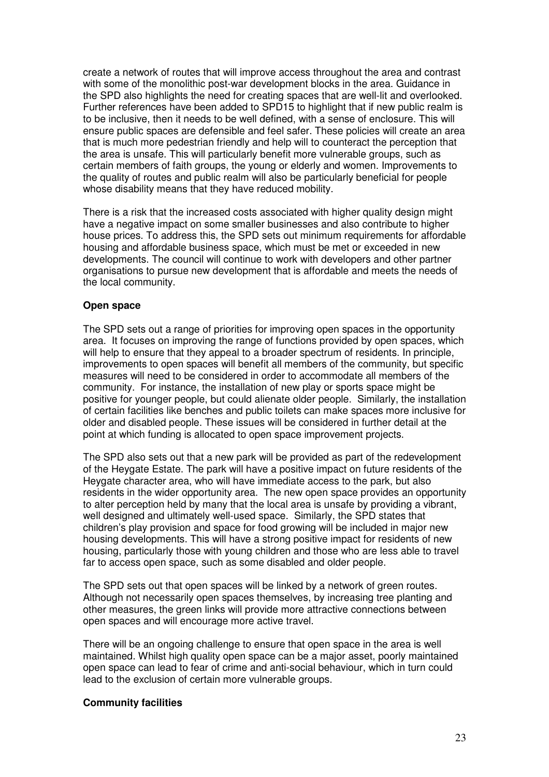create a network of routes that will improve access throughout the area and contrast with some of the monolithic post-war development blocks in the area. Guidance in the SPD also highlights the need for creating spaces that are well-lit and overlooked. Further references have been added to SPD15 to highlight that if new public realm is to be inclusive, then it needs to be well defined, with a sense of enclosure. This will ensure public spaces are defensible and feel safer. These policies will create an area that is much more pedestrian friendly and help will to counteract the perception that the area is unsafe. This will particularly benefit more vulnerable groups, such as certain members of faith groups, the young or elderly and women. Improvements to the quality of routes and public realm will also be particularly beneficial for people whose disability means that they have reduced mobility.

There is a risk that the increased costs associated with higher quality design might have a negative impact on some smaller businesses and also contribute to higher house prices. To address this, the SPD sets out minimum requirements for affordable housing and affordable business space, which must be met or exceeded in new developments. The council will continue to work with developers and other partner organisations to pursue new development that is affordable and meets the needs of the local community.

#### **Open space**

The SPD sets out a range of priorities for improving open spaces in the opportunity area. It focuses on improving the range of functions provided by open spaces, which will help to ensure that they appeal to a broader spectrum of residents. In principle, improvements to open spaces will benefit all members of the community, but specific measures will need to be considered in order to accommodate all members of the community. For instance, the installation of new play or sports space might be positive for younger people, but could alienate older people. Similarly, the installation of certain facilities like benches and public toilets can make spaces more inclusive for older and disabled people. These issues will be considered in further detail at the point at which funding is allocated to open space improvement projects.

The SPD also sets out that a new park will be provided as part of the redevelopment of the Heygate Estate. The park will have a positive impact on future residents of the Heygate character area, who will have immediate access to the park, but also residents in the wider opportunity area. The new open space provides an opportunity to alter perception held by many that the local area is unsafe by providing a vibrant, well designed and ultimately well-used space. Similarly, the SPD states that children's play provision and space for food growing will be included in major new housing developments. This will have a strong positive impact for residents of new housing, particularly those with young children and those who are less able to travel far to access open space, such as some disabled and older people.

The SPD sets out that open spaces will be linked by a network of green routes. Although not necessarily open spaces themselves, by increasing tree planting and other measures, the green links will provide more attractive connections between open spaces and will encourage more active travel.

There will be an ongoing challenge to ensure that open space in the area is well maintained. Whilst high quality open space can be a major asset, poorly maintained open space can lead to fear of crime and anti-social behaviour, which in turn could lead to the exclusion of certain more vulnerable groups.

#### **Community facilities**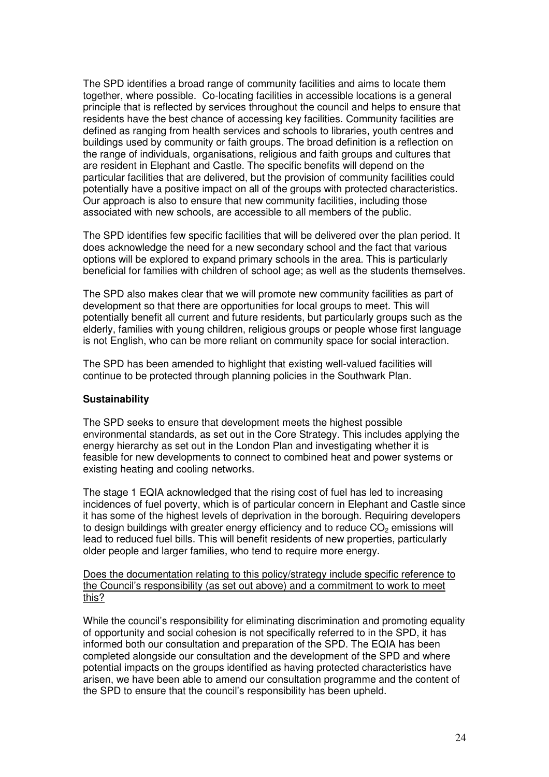The SPD identifies a broad range of community facilities and aims to locate them together, where possible. Co-locating facilities in accessible locations is a general principle that is reflected by services throughout the council and helps to ensure that residents have the best chance of accessing key facilities. Community facilities are defined as ranging from health services and schools to libraries, youth centres and buildings used by community or faith groups. The broad definition is a reflection on the range of individuals, organisations, religious and faith groups and cultures that are resident in Elephant and Castle. The specific benefits will depend on the particular facilities that are delivered, but the provision of community facilities could potentially have a positive impact on all of the groups with protected characteristics. Our approach is also to ensure that new community facilities, including those associated with new schools, are accessible to all members of the public.

The SPD identifies few specific facilities that will be delivered over the plan period. It does acknowledge the need for a new secondary school and the fact that various options will be explored to expand primary schools in the area. This is particularly beneficial for families with children of school age; as well as the students themselves.

The SPD also makes clear that we will promote new community facilities as part of development so that there are opportunities for local groups to meet. This will potentially benefit all current and future residents, but particularly groups such as the elderly, families with young children, religious groups or people whose first language is not English, who can be more reliant on community space for social interaction.

The SPD has been amended to highlight that existing well-valued facilities will continue to be protected through planning policies in the Southwark Plan.

#### **Sustainability**

The SPD seeks to ensure that development meets the highest possible environmental standards, as set out in the Core Strategy. This includes applying the energy hierarchy as set out in the London Plan and investigating whether it is feasible for new developments to connect to combined heat and power systems or existing heating and cooling networks.

The stage 1 EQIA acknowledged that the rising cost of fuel has led to increasing incidences of fuel poverty, which is of particular concern in Elephant and Castle since it has some of the highest levels of deprivation in the borough. Requiring developers to design buildings with greater energy efficiency and to reduce  $CO<sub>2</sub>$  emissions will lead to reduced fuel bills. This will benefit residents of new properties, particularly older people and larger families, who tend to require more energy.

Does the documentation relating to this policy/strategy include specific reference to the Council's responsibility (as set out above) and a commitment to work to meet this?

While the council's responsibility for eliminating discrimination and promoting equality of opportunity and social cohesion is not specifically referred to in the SPD, it has informed both our consultation and preparation of the SPD. The EQIA has been completed alongside our consultation and the development of the SPD and where potential impacts on the groups identified as having protected characteristics have arisen, we have been able to amend our consultation programme and the content of the SPD to ensure that the council's responsibility has been upheld.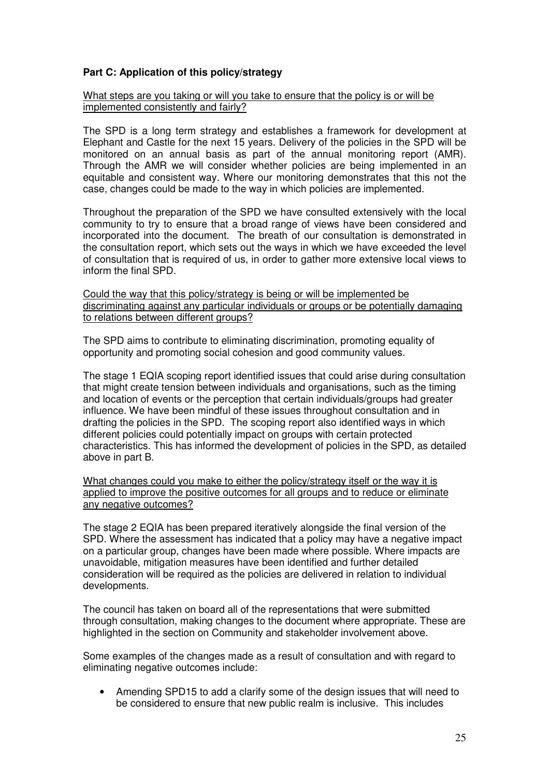#### **Part C: Application of this policy/strategy**

What steps are you taking or will you take to ensure that the policy is or will be implemented consistently and fairly?

The SPD is a long term strategy and establishes a framework for development at Elephant and Castle for the next 15 years. Delivery of the policies in the SPD will be monitored on an annual basis as part of the annual monitoring report (AMR). Through the AMR we will consider whether policies are being implemented in an equitable and consistent way. Where our monitoring demonstrates that this not the case, changes could be made to the way in which policies are implemented.

Throughout the preparation of the SPD we have consulted extensively with the local community to try to ensure that a broad range of views have been considered and incorporated into the document. The breath of our consultation is demonstrated in the consultation report, which sets out the ways in which we have exceeded the level of consultation that is required of us, in order to gather more extensive local views to inform the final SPD.

Could the way that this policy/strategy is being or will be implemented be discriminating against any particular individuals or groups or be potentially damaging to relations between different groups?

The SPD aims to contribute to eliminating discrimination, promoting equality of opportunity and promoting social cohesion and good community values.

The stage 1 EQIA scoping report identified issues that could arise during consultation that might create tension between individuals and organisations, such as the timing and location of events or the perception that certain individuals/groups had greater influence. We have been mindful of these issues throughout consultation and in drafting the policies in the SPD. The scoping report also identified ways in which different policies could potentially impact on groups with certain protected characteristics. This has informed the development of policies in the SPD, as detailed above in part B.

What changes could you make to either the policy/strategy itself or the way it is applied to improve the positive outcomes for all groups and to reduce or eliminate any negative outcomes?

The stage 2 EQIA has been prepared iteratively alongside the final version of the SPD. Where the assessment has indicated that a policy may have a negative impact on a particular group, changes have been made where possible. Where impacts are unavoidable, mitigation measures have been identified and further detailed consideration will be required as the policies are delivered in relation to individual developments.

The council has taken on board all of the representations that were submitted through consultation, making changes to the document where appropriate. These are highlighted in the section on Community and stakeholder involvement above.

Some examples of the changes made as a result of consultation and with regard to eliminating negative outcomes include:

• Amending SPD15 to add a clarify some of the design issues that will need to be considered to ensure that new public realm is inclusive. This includes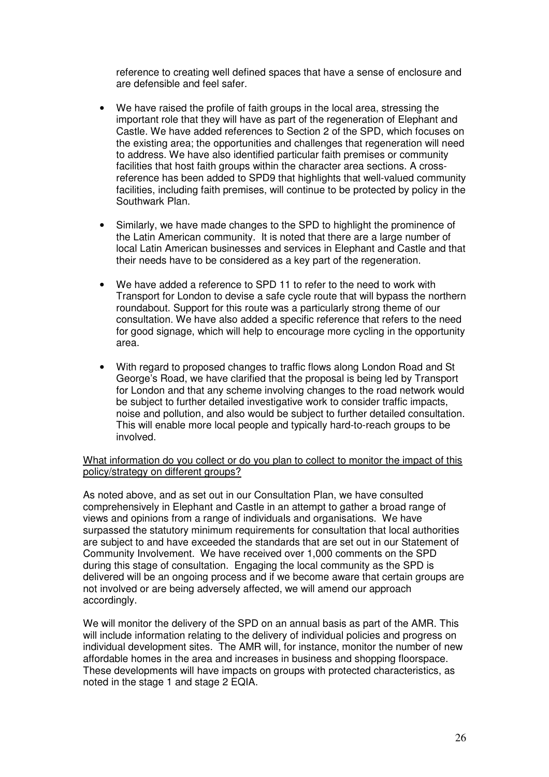reference to creating well defined spaces that have a sense of enclosure and are defensible and feel safer.

- We have raised the profile of faith groups in the local area, stressing the important role that they will have as part of the regeneration of Elephant and Castle. We have added references to Section 2 of the SPD, which focuses on the existing area; the opportunities and challenges that regeneration will need to address. We have also identified particular faith premises or community facilities that host faith groups within the character area sections. A crossreference has been added to SPD9 that highlights that well-valued community facilities, including faith premises, will continue to be protected by policy in the Southwark Plan.
- Similarly, we have made changes to the SPD to highlight the prominence of the Latin American community. It is noted that there are a large number of local Latin American businesses and services in Elephant and Castle and that their needs have to be considered as a key part of the regeneration.
- We have added a reference to SPD 11 to refer to the need to work with Transport for London to devise a safe cycle route that will bypass the northern roundabout. Support for this route was a particularly strong theme of our consultation. We have also added a specific reference that refers to the need for good signage, which will help to encourage more cycling in the opportunity area.
- With regard to proposed changes to traffic flows along London Road and St George's Road, we have clarified that the proposal is being led by Transport for London and that any scheme involving changes to the road network would be subject to further detailed investigative work to consider traffic impacts, noise and pollution, and also would be subject to further detailed consultation. This will enable more local people and typically hard-to-reach groups to be involved.

What information do you collect or do you plan to collect to monitor the impact of this policy/strategy on different groups?

As noted above, and as set out in our Consultation Plan, we have consulted comprehensively in Elephant and Castle in an attempt to gather a broad range of views and opinions from a range of individuals and organisations. We have surpassed the statutory minimum requirements for consultation that local authorities are subject to and have exceeded the standards that are set out in our Statement of Community Involvement. We have received over 1,000 comments on the SPD during this stage of consultation. Engaging the local community as the SPD is delivered will be an ongoing process and if we become aware that certain groups are not involved or are being adversely affected, we will amend our approach accordingly.

We will monitor the delivery of the SPD on an annual basis as part of the AMR. This will include information relating to the delivery of individual policies and progress on individual development sites. The AMR will, for instance, monitor the number of new affordable homes in the area and increases in business and shopping floorspace. These developments will have impacts on groups with protected characteristics, as noted in the stage 1 and stage 2 EQIA.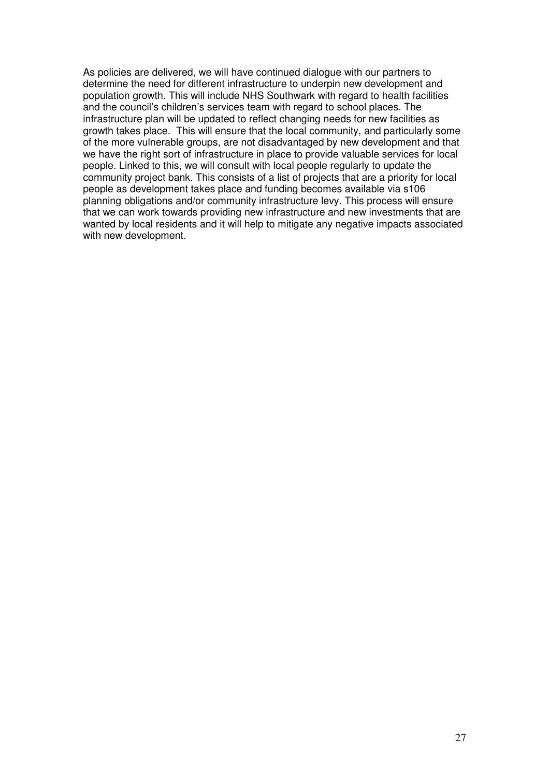As policies are delivered, we will have continued dialogue with our partners to determine the need for different infrastructure to underpin new development and population growth. This will include NHS Southwark with regard to health facilities and the council's children's services team with regard to school places. The infrastructure plan will be updated to reflect changing needs for new facilities as growth takes place. This will ensure that the local community, and particularly some of the more vulnerable groups, are not disadvantaged by new development and that we have the right sort of infrastructure in place to provide valuable services for local people. Linked to this, we will consult with local people regularly to update the community project bank. This consists of a list of projects that are a priority for local people as development takes place and funding becomes available via s106 planning obligations and/or community infrastructure levy. This process will ensure that we can work towards providing new infrastructure and new investments that are wanted by local residents and it will help to mitigate any negative impacts associated with new development.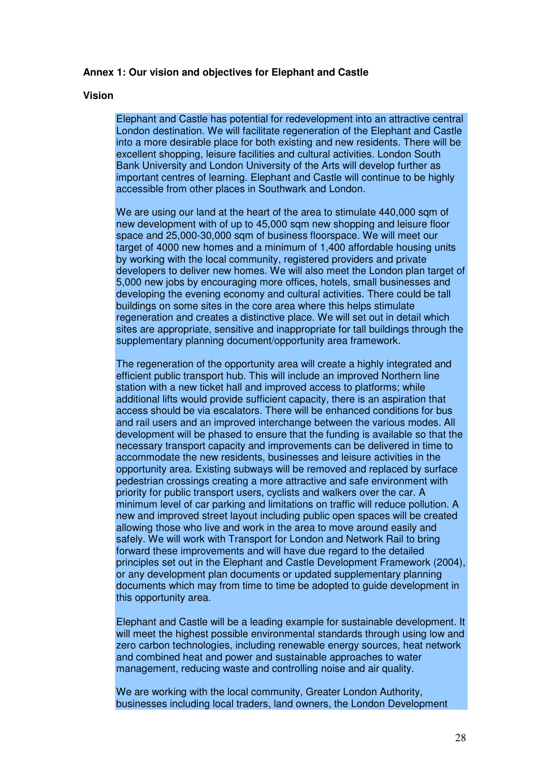#### **Annex 1: Our vision and objectives for Elephant and Castle**

#### **Vision**

Elephant and Castle has potential for redevelopment into an attractive central London destination. We will facilitate regeneration of the Elephant and Castle into a more desirable place for both existing and new residents. There will be excellent shopping, leisure facilities and cultural activities. London South Bank University and London University of the Arts will develop further as important centres of learning. Elephant and Castle will continue to be highly accessible from other places in Southwark and London.

We are using our land at the heart of the area to stimulate 440,000 sqm of new development with of up to 45,000 sqm new shopping and leisure floor space and 25,000-30,000 sqm of business floorspace. We will meet our target of 4000 new homes and a minimum of 1,400 affordable housing units by working with the local community, registered providers and private developers to deliver new homes. We will also meet the London plan target of 5,000 new jobs by encouraging more offices, hotels, small businesses and developing the evening economy and cultural activities. There could be tall buildings on some sites in the core area where this helps stimulate regeneration and creates a distinctive place. We will set out in detail which sites are appropriate, sensitive and inappropriate for tall buildings through the supplementary planning document/opportunity area framework.

The regeneration of the opportunity area will create a highly integrated and efficient public transport hub. This will include an improved Northern line station with a new ticket hall and improved access to platforms; while additional lifts would provide sufficient capacity, there is an aspiration that access should be via escalators. There will be enhanced conditions for bus and rail users and an improved interchange between the various modes. All development will be phased to ensure that the funding is available so that the necessary transport capacity and improvements can be delivered in time to accommodate the new residents, businesses and leisure activities in the opportunity area. Existing subways will be removed and replaced by surface pedestrian crossings creating a more attractive and safe environment with priority for public transport users, cyclists and walkers over the car. A minimum level of car parking and limitations on traffic will reduce pollution. A new and improved street layout including public open spaces will be created allowing those who live and work in the area to move around easily and safely. We will work with Transport for London and Network Rail to bring forward these improvements and will have due regard to the detailed principles set out in the Elephant and Castle Development Framework (2004), or any development plan documents or updated supplementary planning documents which may from time to time be adopted to guide development in this opportunity area.

Elephant and Castle will be a leading example for sustainable development. It will meet the highest possible environmental standards through using low and zero carbon technologies, including renewable energy sources, heat network and combined heat and power and sustainable approaches to water management, reducing waste and controlling noise and air quality.

We are working with the local community, Greater London Authority, businesses including local traders, land owners, the London Development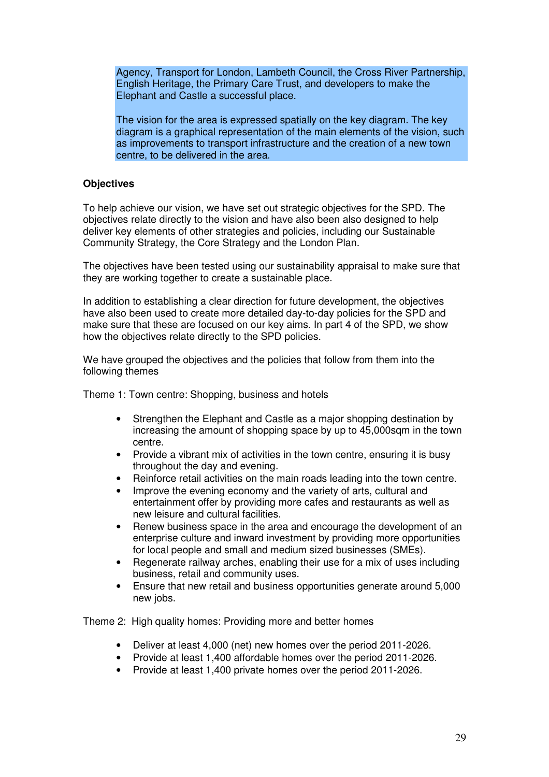Agency, Transport for London, Lambeth Council, the Cross River Partnership, English Heritage, the Primary Care Trust, and developers to make the Elephant and Castle a successful place.

The vision for the area is expressed spatially on the key diagram. The key diagram is a graphical representation of the main elements of the vision, such as improvements to transport infrastructure and the creation of a new town centre, to be delivered in the area.

#### **Objectives**

To help achieve our vision, we have set out strategic objectives for the SPD. The objectives relate directly to the vision and have also been also designed to help deliver key elements of other strategies and policies, including our Sustainable Community Strategy, the Core Strategy and the London Plan.

The objectives have been tested using our sustainability appraisal to make sure that they are working together to create a sustainable place.

In addition to establishing a clear direction for future development, the objectives have also been used to create more detailed day-to-day policies for the SPD and make sure that these are focused on our key aims. In part 4 of the SPD, we show how the objectives relate directly to the SPD policies.

We have grouped the objectives and the policies that follow from them into the following themes

Theme 1: Town centre: Shopping, business and hotels

- Strengthen the Elephant and Castle as a major shopping destination by increasing the amount of shopping space by up to 45,000sqm in the town centre.
- Provide a vibrant mix of activities in the town centre, ensuring it is busy throughout the day and evening.
- Reinforce retail activities on the main roads leading into the town centre.
- Improve the evening economy and the variety of arts, cultural and entertainment offer by providing more cafes and restaurants as well as new leisure and cultural facilities.
- Renew business space in the area and encourage the development of an enterprise culture and inward investment by providing more opportunities for local people and small and medium sized businesses (SMEs).
- Regenerate railway arches, enabling their use for a mix of uses including business, retail and community uses.
- Ensure that new retail and business opportunities generate around 5,000 new jobs.

Theme 2: High quality homes: Providing more and better homes

- Deliver at least 4,000 (net) new homes over the period 2011-2026.
- Provide at least 1,400 affordable homes over the period 2011-2026.
- Provide at least 1,400 private homes over the period 2011-2026.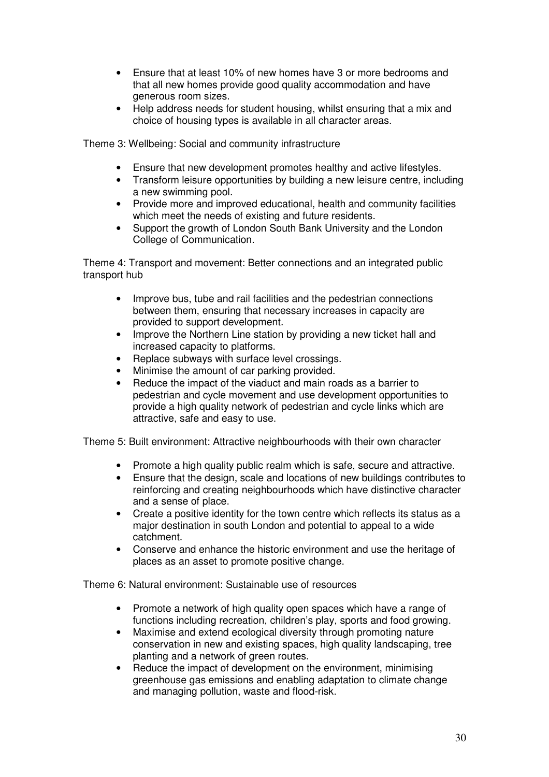- Ensure that at least 10% of new homes have 3 or more bedrooms and that all new homes provide good quality accommodation and have generous room sizes.
- Help address needs for student housing, whilst ensuring that a mix and choice of housing types is available in all character areas.

Theme 3: Wellbeing: Social and community infrastructure

- Ensure that new development promotes healthy and active lifestyles.
- Transform leisure opportunities by building a new leisure centre, including a new swimming pool.
- Provide more and improved educational, health and community facilities which meet the needs of existing and future residents.
- Support the growth of London South Bank University and the London College of Communication.

Theme 4: Transport and movement: Better connections and an integrated public transport hub

- Improve bus, tube and rail facilities and the pedestrian connections between them, ensuring that necessary increases in capacity are provided to support development.
- Improve the Northern Line station by providing a new ticket hall and increased capacity to platforms.
- Replace subways with surface level crossings.
- Minimise the amount of car parking provided.
- Reduce the impact of the viaduct and main roads as a barrier to pedestrian and cycle movement and use development opportunities to provide a high quality network of pedestrian and cycle links which are attractive, safe and easy to use.

Theme 5: Built environment: Attractive neighbourhoods with their own character

- Promote a high quality public realm which is safe, secure and attractive.
- Ensure that the design, scale and locations of new buildings contributes to reinforcing and creating neighbourhoods which have distinctive character and a sense of place.
- Create a positive identity for the town centre which reflects its status as a major destination in south London and potential to appeal to a wide catchment.
- Conserve and enhance the historic environment and use the heritage of places as an asset to promote positive change.

Theme 6: Natural environment: Sustainable use of resources

- Promote a network of high quality open spaces which have a range of functions including recreation, children's play, sports and food growing.
- Maximise and extend ecological diversity through promoting nature conservation in new and existing spaces, high quality landscaping, tree planting and a network of green routes.
- Reduce the impact of development on the environment, minimising greenhouse gas emissions and enabling adaptation to climate change and managing pollution, waste and flood-risk.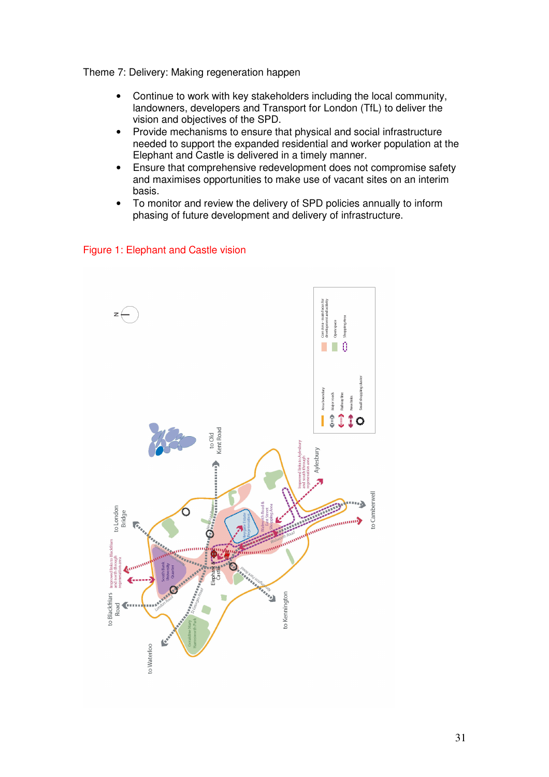Theme 7: Delivery: Making regeneration happen

- Continue to work with key stakeholders including the local community, landowners, developers and Transport for London (TfL) to deliver the vision and objectives of the SPD.
- Provide mechanisms to ensure that physical and social infrastructure needed to support the expanded residential and worker population at the Elephant and Castle is delivered in a timely manner.
- Ensure that comprehensive redevelopment does not compromise safety and maximises opportunities to make use of vacant sites on an interim basis.
- To monitor and review the delivery of SPD policies annually to inform phasing of future development and delivery of infrastructure.

#### Figure 1: Elephant and Castle vision

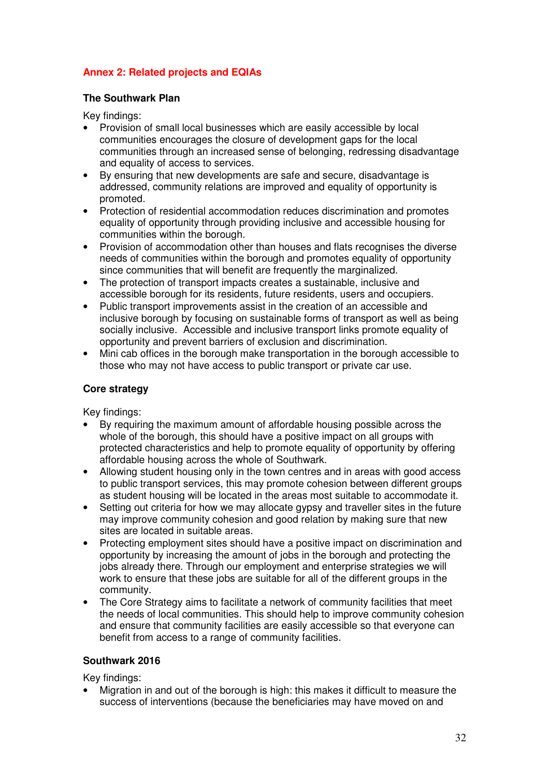### **Annex 2: Related projects and EQIAs**

#### **The Southwark Plan**

Key findings:

- Provision of small local businesses which are easily accessible by local communities encourages the closure of development gaps for the local communities through an increased sense of belonging, redressing disadvantage and equality of access to services.
- By ensuring that new developments are safe and secure, disadvantage is addressed, community relations are improved and equality of opportunity is promoted.
- Protection of residential accommodation reduces discrimination and promotes equality of opportunity through providing inclusive and accessible housing for communities within the borough.
- Provision of accommodation other than houses and flats recognises the diverse needs of communities within the borough and promotes equality of opportunity since communities that will benefit are frequently the marginalized.
- The protection of transport impacts creates a sustainable, inclusive and accessible borough for its residents, future residents, users and occupiers.
- Public transport improvements assist in the creation of an accessible and inclusive borough by focusing on sustainable forms of transport as well as being socially inclusive. Accessible and inclusive transport links promote equality of opportunity and prevent barriers of exclusion and discrimination.
- Mini cab offices in the borough make transportation in the borough accessible to those who may not have access to public transport or private car use.

### **Core strategy**

Key findings:

- By requiring the maximum amount of affordable housing possible across the whole of the borough, this should have a positive impact on all groups with protected characteristics and help to promote equality of opportunity by offering affordable housing across the whole of Southwark.
- Allowing student housing only in the town centres and in areas with good access to public transport services, this may promote cohesion between different groups as student housing will be located in the areas most suitable to accommodate it.
- Setting out criteria for how we may allocate gypsy and traveller sites in the future may improve community cohesion and good relation by making sure that new sites are located in suitable areas.
- Protecting employment sites should have a positive impact on discrimination and opportunity by increasing the amount of jobs in the borough and protecting the jobs already there. Through our employment and enterprise strategies we will work to ensure that these jobs are suitable for all of the different groups in the community.
- The Core Strategy aims to facilitate a network of community facilities that meet the needs of local communities. This should help to improve community cohesion and ensure that community facilities are easily accessible so that everyone can benefit from access to a range of community facilities.

#### **Southwark 2016**

Key findings:

• Migration in and out of the borough is high: this makes it difficult to measure the success of interventions (because the beneficiaries may have moved on and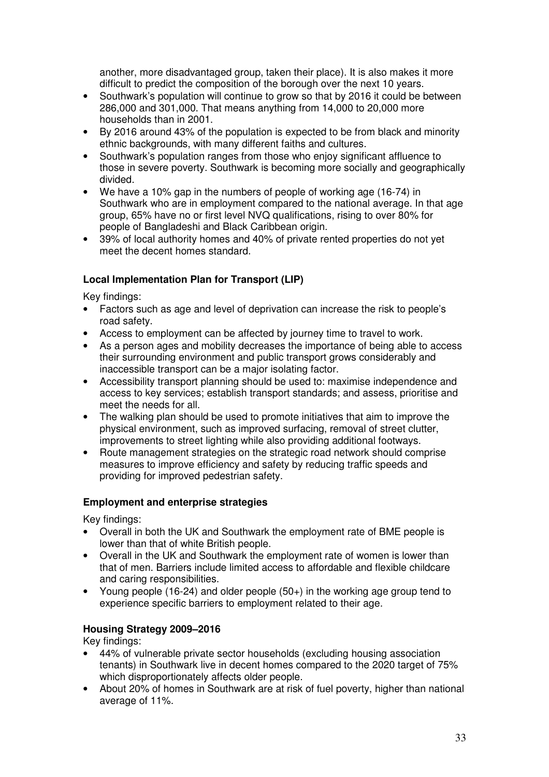another, more disadvantaged group, taken their place). It is also makes it more difficult to predict the composition of the borough over the next 10 years.

- Southwark's population will continue to grow so that by 2016 it could be between 286,000 and 301,000. That means anything from 14,000 to 20,000 more households than in 2001.
- By 2016 around 43% of the population is expected to be from black and minority ethnic backgrounds, with many different faiths and cultures.
- Southwark's population ranges from those who enjoy significant affluence to those in severe poverty. Southwark is becoming more socially and geographically divided.
- We have a 10% gap in the numbers of people of working age (16-74) in Southwark who are in employment compared to the national average. In that age group, 65% have no or first level NVQ qualifications, rising to over 80% for people of Bangladeshi and Black Caribbean origin.
- 39% of local authority homes and 40% of private rented properties do not yet meet the decent homes standard.

### **Local Implementation Plan for Transport (LIP)**

Key findings:

- Factors such as age and level of deprivation can increase the risk to people's road safety.
- Access to employment can be affected by journey time to travel to work.
- As a person ages and mobility decreases the importance of being able to access their surrounding environment and public transport grows considerably and inaccessible transport can be a major isolating factor.
- Accessibility transport planning should be used to: maximise independence and access to key services; establish transport standards; and assess, prioritise and meet the needs for all.
- The walking plan should be used to promote initiatives that aim to improve the physical environment, such as improved surfacing, removal of street clutter, improvements to street lighting while also providing additional footways.
- Route management strategies on the strategic road network should comprise measures to improve efficiency and safety by reducing traffic speeds and providing for improved pedestrian safety.

### **Employment and enterprise strategies**

Key findings:

- Overall in both the UK and Southwark the employment rate of BME people is lower than that of white British people.
- Overall in the UK and Southwark the employment rate of women is lower than that of men. Barriers include limited access to affordable and flexible childcare and caring responsibilities.
- Young people (16-24) and older people (50+) in the working age group tend to experience specific barriers to employment related to their age.

### **Housing Strategy 2009–2016**

Key findings:

- 44% of vulnerable private sector households (excluding housing association tenants) in Southwark live in decent homes compared to the 2020 target of 75% which disproportionately affects older people.
- About 20% of homes in Southwark are at risk of fuel poverty, higher than national average of 11%.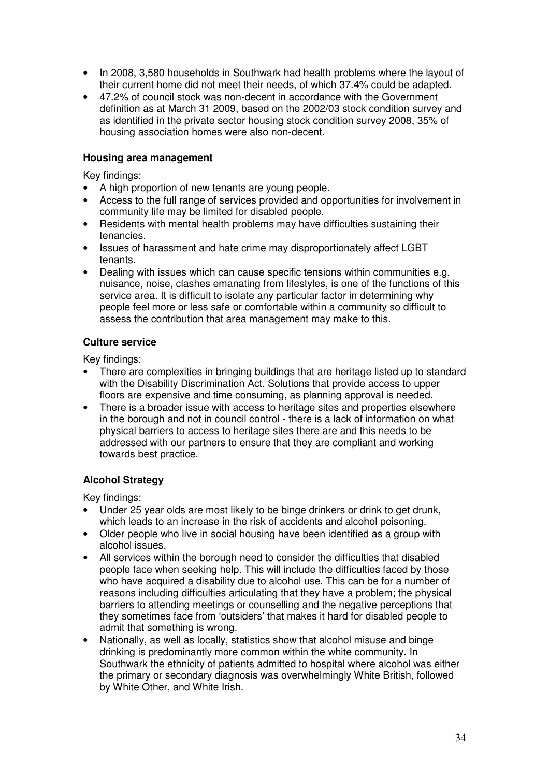- In 2008, 3,580 households in Southwark had health problems where the layout of their current home did not meet their needs, of which 37.4% could be adapted.
- 47.2% of council stock was non-decent in accordance with the Government definition as at March 31 2009, based on the 2002/03 stock condition survey and as identified in the private sector housing stock condition survey 2008, 35% of housing association homes were also non-decent.

#### **Housing area management**

Key findings:

- A high proportion of new tenants are young people.
- Access to the full range of services provided and opportunities for involvement in community life may be limited for disabled people.
- Residents with mental health problems may have difficulties sustaining their tenancies.
- Issues of harassment and hate crime may disproportionately affect LGBT tenants.
- Dealing with issues which can cause specific tensions within communities e.g. nuisance, noise, clashes emanating from lifestyles, is one of the functions of this service area. It is difficult to isolate any particular factor in determining why people feel more or less safe or comfortable within a community so difficult to assess the contribution that area management may make to this.

### **Culture service**

Key findings:

- There are complexities in bringing buildings that are heritage listed up to standard with the Disability Discrimination Act. Solutions that provide access to upper floors are expensive and time consuming, as planning approval is needed.
- There is a broader issue with access to heritage sites and properties elsewhere in the borough and not in council control - there is a lack of information on what physical barriers to access to heritage sites there are and this needs to be addressed with our partners to ensure that they are compliant and working towards best practice.

### **Alcohol Strategy**

Key findings:

- Under 25 year olds are most likely to be binge drinkers or drink to get drunk, which leads to an increase in the risk of accidents and alcohol poisoning.
- Older people who live in social housing have been identified as a group with alcohol issues.
- All services within the borough need to consider the difficulties that disabled people face when seeking help. This will include the difficulties faced by those who have acquired a disability due to alcohol use. This can be for a number of reasons including difficulties articulating that they have a problem; the physical barriers to attending meetings or counselling and the negative perceptions that they sometimes face from 'outsiders' that makes it hard for disabled people to admit that something is wrong.
- Nationally, as well as locally, statistics show that alcohol misuse and binge drinking is predominantly more common within the white community. In Southwark the ethnicity of patients admitted to hospital where alcohol was either the primary or secondary diagnosis was overwhelmingly White British, followed by White Other, and White Irish.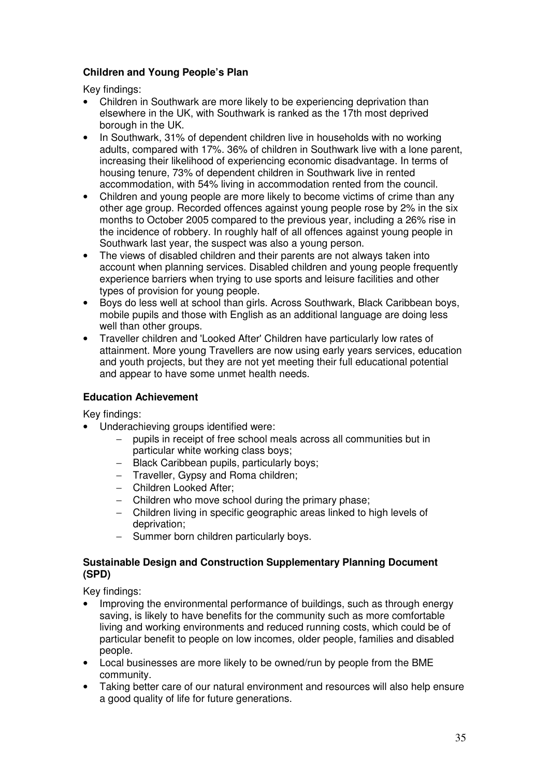### **Children and Young People's Plan**

Key findings:

- Children in Southwark are more likely to be experiencing deprivation than elsewhere in the UK, with Southwark is ranked as the 17th most deprived borough in the UK.
- In Southwark, 31% of dependent children live in households with no working adults, compared with 17%. 36% of children in Southwark live with a lone parent, increasing their likelihood of experiencing economic disadvantage. In terms of housing tenure, 73% of dependent children in Southwark live in rented accommodation, with 54% living in accommodation rented from the council.
- Children and young people are more likely to become victims of crime than any other age group. Recorded offences against young people rose by 2% in the six months to October 2005 compared to the previous year, including a 26% rise in the incidence of robbery. In roughly half of all offences against young people in Southwark last year, the suspect was also a young person.
- The views of disabled children and their parents are not always taken into account when planning services. Disabled children and young people frequently experience barriers when trying to use sports and leisure facilities and other types of provision for young people.
- Boys do less well at school than girls. Across Southwark, Black Caribbean boys, mobile pupils and those with English as an additional language are doing less well than other groups.
- Traveller children and 'Looked After' Children have particularly low rates of attainment. More young Travellers are now using early years services, education and youth projects, but they are not yet meeting their full educational potential and appear to have some unmet health needs.

### **Education Achievement**

Key findings:

- Underachieving groups identified were:
	- − pupils in receipt of free school meals across all communities but in particular white working class boys;
	- − Black Caribbean pupils, particularly boys;
	- − Traveller, Gypsy and Roma children;
	- − Children Looked After;
	- − Children who move school during the primary phase;
	- − Children living in specific geographic areas linked to high levels of deprivation;
	- − Summer born children particularly boys.

#### **Sustainable Design and Construction Supplementary Planning Document (SPD)**

Key findings:

- Improving the environmental performance of buildings, such as through energy saving, is likely to have benefits for the community such as more comfortable living and working environments and reduced running costs, which could be of particular benefit to people on low incomes, older people, families and disabled people.
- Local businesses are more likely to be owned/run by people from the BME community.
- Taking better care of our natural environment and resources will also help ensure a good quality of life for future generations.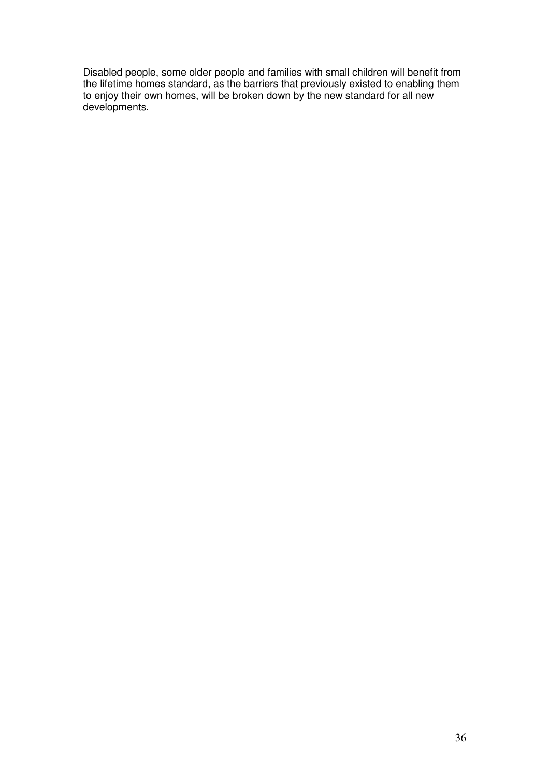Disabled people, some older people and families with small children will benefit from the lifetime homes standard, as the barriers that previously existed to enabling them to enjoy their own homes, will be broken down by the new standard for all new developments.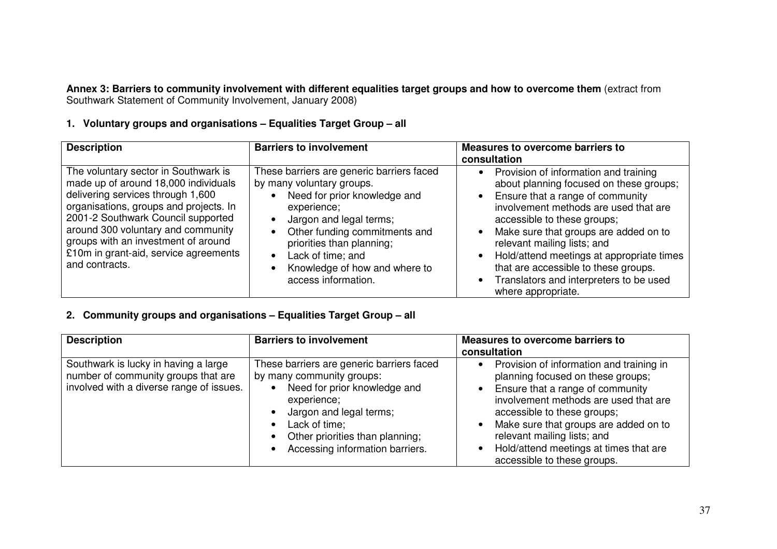**Annex 3: Barriers to community involvement with different equalities target groups and how to overcome them** (extract from<br>Southwark Statement of Community Involvement, January 2008)

### **1. Voluntary groups and organisations – Equalities Target Group – all**

| <b>Description</b>                                                                                                                                                                                                                                                                                                                        | <b>Barriers to involvement</b>                                                                                                                                                                                                                                                              | <b>Measures to overcome barriers to</b><br>consultation                                                                                                                                                                                                                                                                                                                                                                                   |
|-------------------------------------------------------------------------------------------------------------------------------------------------------------------------------------------------------------------------------------------------------------------------------------------------------------------------------------------|---------------------------------------------------------------------------------------------------------------------------------------------------------------------------------------------------------------------------------------------------------------------------------------------|-------------------------------------------------------------------------------------------------------------------------------------------------------------------------------------------------------------------------------------------------------------------------------------------------------------------------------------------------------------------------------------------------------------------------------------------|
| The voluntary sector in Southwark is<br>made up of around 18,000 individuals<br>delivering services through 1,600<br>organisations, groups and projects. In<br>2001-2 Southwark Council supported<br>around 300 voluntary and community<br>groups with an investment of around<br>£10m in grant-aid, service agreements<br>and contracts. | These barriers are generic barriers faced<br>by many voluntary groups.<br>Need for prior knowledge and<br>experience;<br>Jargon and legal terms;<br>Other funding commitments and<br>priorities than planning;<br>Lack of time; and<br>Knowledge of how and where to<br>access information. | Provision of information and training<br>$\bullet$<br>about planning focused on these groups;<br>• Ensure that a range of community<br>involvement methods are used that are<br>accessible to these groups;<br>Make sure that groups are added on to<br>relevant mailing lists; and<br>Hold/attend meetings at appropriate times<br>that are accessible to these groups.<br>Translators and interpreters to be used<br>where appropriate. |

### **2. Community groups and organisations – Equalities Target Group – all**

| <b>Description</b>                                                                                                      | <b>Barriers to involvement</b>                                                                                                                                                                                                          | <b>Measures to overcome barriers to</b><br>consultation                                                                                                                                                                                                                                                                                                 |
|-------------------------------------------------------------------------------------------------------------------------|-----------------------------------------------------------------------------------------------------------------------------------------------------------------------------------------------------------------------------------------|---------------------------------------------------------------------------------------------------------------------------------------------------------------------------------------------------------------------------------------------------------------------------------------------------------------------------------------------------------|
| Southwark is lucky in having a large<br>number of community groups that are<br>involved with a diverse range of issues. | These barriers are generic barriers faced<br>by many community groups:<br>Need for prior knowledge and<br>experience;<br>Jargon and legal terms;<br>Lack of time;<br>Other priorities than planning;<br>Accessing information barriers. | Provision of information and training in<br>$\bullet$<br>planning focused on these groups;<br>Ensure that a range of community<br>involvement methods are used that are<br>accessible to these groups;<br>Make sure that groups are added on to<br>relevant mailing lists; and<br>Hold/attend meetings at times that are<br>accessible to these groups. |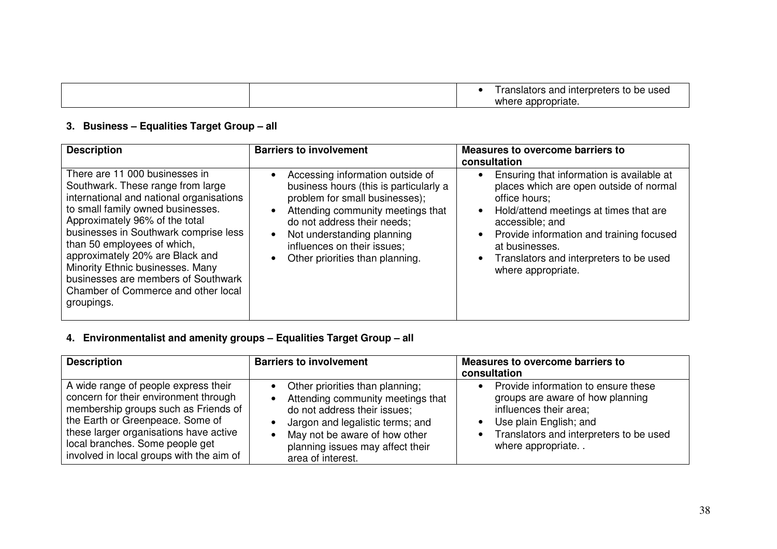|  | I ranslators and interpreters to be used |
|--|------------------------------------------|
|  | `appropriate.<br>where                   |

### **3. Business – Equalities Target Group – all**

| <b>Description</b>                                                                                                                                                                                                                                                                                                                                                                                                                | <b>Barriers to involvement</b>                                                                                                                                                                                                                                                   | Measures to overcome barriers to<br>consultation                                                                                                                                                                                                                                                                                         |
|-----------------------------------------------------------------------------------------------------------------------------------------------------------------------------------------------------------------------------------------------------------------------------------------------------------------------------------------------------------------------------------------------------------------------------------|----------------------------------------------------------------------------------------------------------------------------------------------------------------------------------------------------------------------------------------------------------------------------------|------------------------------------------------------------------------------------------------------------------------------------------------------------------------------------------------------------------------------------------------------------------------------------------------------------------------------------------|
| There are 11 000 businesses in<br>Southwark. These range from large<br>international and national organisations<br>to small family owned businesses.<br>Approximately 96% of the total<br>businesses in Southwark comprise less<br>than 50 employees of which,<br>approximately 20% are Black and<br>Minority Ethnic businesses. Many<br>businesses are members of Southwark<br>Chamber of Commerce and other local<br>groupings. | Accessing information outside of<br>business hours (this is particularly a<br>problem for small businesses);<br>Attending community meetings that<br>do not address their needs;<br>Not understanding planning<br>influences on their issues;<br>Other priorities than planning. | Ensuring that information is available at<br>$\bullet$<br>places which are open outside of normal<br>office hours;<br>Hold/attend meetings at times that are<br>$\bullet$<br>accessible; and<br>Provide information and training focused<br>$\bullet$<br>at businesses.<br>Translators and interpreters to be used<br>where appropriate. |

### **4. Environmentalist and amenity groups – Equalities Target Group – all**

| <b>Description</b>                                                                                                                                                                                                                                                                 | <b>Barriers to involvement</b>                                                                                                                                                                                                                  | <b>Measures to overcome barriers to</b><br>consultation                                                                                                                                     |
|------------------------------------------------------------------------------------------------------------------------------------------------------------------------------------------------------------------------------------------------------------------------------------|-------------------------------------------------------------------------------------------------------------------------------------------------------------------------------------------------------------------------------------------------|---------------------------------------------------------------------------------------------------------------------------------------------------------------------------------------------|
| A wide range of people express their<br>concern for their environment through<br>membership groups such as Friends of<br>the Earth or Greenpeace. Some of<br>these larger organisations have active<br>local branches. Some people get<br>involved in local groups with the aim of | Other priorities than planning;<br>$\bullet$<br>Attending community meetings that<br>do not address their issues;<br>Jargon and legalistic terms; and<br>May not be aware of how other<br>planning issues may affect their<br>area of interest. | Provide information to ensure these<br>groups are aware of how planning<br>influences their area;<br>Use plain English; and<br>Translators and interpreters to be used<br>where appropriate |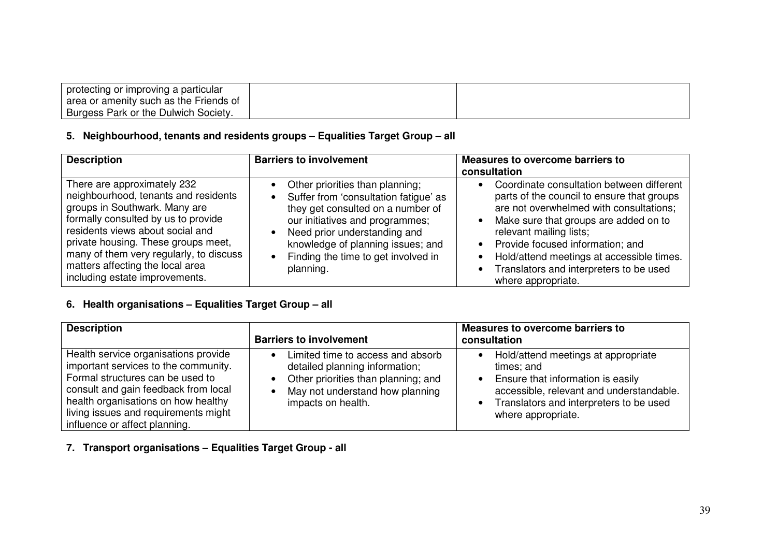| protecting or improving a particular   |  |
|----------------------------------------|--|
| area or amenity such as the Friends of |  |
| Burgess Park or the Dulwich Society.   |  |

### **5. Neighbourhood, tenants and residents groups – Equalities Target Group – all**

| <b>Description</b>                                                                                                                                                                                                                                                                                                                      | <b>Barriers to involvement</b>                                                                                                                                                                                                                                                                                   | <b>Measures to overcome barriers to</b><br>consultation                                                                                                                                                                                                                                                                                                  |
|-----------------------------------------------------------------------------------------------------------------------------------------------------------------------------------------------------------------------------------------------------------------------------------------------------------------------------------------|------------------------------------------------------------------------------------------------------------------------------------------------------------------------------------------------------------------------------------------------------------------------------------------------------------------|----------------------------------------------------------------------------------------------------------------------------------------------------------------------------------------------------------------------------------------------------------------------------------------------------------------------------------------------------------|
| There are approximately 232<br>neighbourhood, tenants and residents<br>groups in Southwark. Many are<br>formally consulted by us to provide<br>residents views about social and<br>private housing. These groups meet,<br>many of them very regularly, to discuss<br>matters affecting the local area<br>including estate improvements. | Other priorities than planning;<br>$\bullet$<br>Suffer from 'consultation fatigue' as<br>$\bullet$<br>they get consulted on a number of<br>our initiatives and programmes;<br>Need prior understanding and<br>knowledge of planning issues; and<br>Finding the time to get involved in<br>$\bullet$<br>planning. | Coordinate consultation between different<br>parts of the council to ensure that groups<br>are not overwhelmed with consultations;<br>Make sure that groups are added on to<br>relevant mailing lists;<br>Provide focused information; and<br>Hold/attend meetings at accessible times.<br>Translators and interpreters to be used<br>where appropriate. |

### **6. Health organisations – Equalities Target Group – all**

| <b>Description</b>                                                                                                                                                                                                                                                       | <b>Barriers to involvement</b>                                                                                                                                      | Measures to overcome barriers to<br>consultation                                                                                                                                                        |
|--------------------------------------------------------------------------------------------------------------------------------------------------------------------------------------------------------------------------------------------------------------------------|---------------------------------------------------------------------------------------------------------------------------------------------------------------------|---------------------------------------------------------------------------------------------------------------------------------------------------------------------------------------------------------|
| Health service organisations provide<br>important services to the community.<br>Formal structures can be used to<br>consult and gain feedback from local<br>health organisations on how healthy<br>living issues and requirements might<br>influence or affect planning. | Limited time to access and absorb<br>detailed planning information;<br>Other priorities than planning; and<br>May not understand how planning<br>impacts on health. | Hold/attend meetings at appropriate<br>times; and<br>• Ensure that information is easily<br>accessible, relevant and understandable.<br>• Translators and interpreters to be used<br>where appropriate. |

### **7. Transport organisations – Equalities Target Group - all**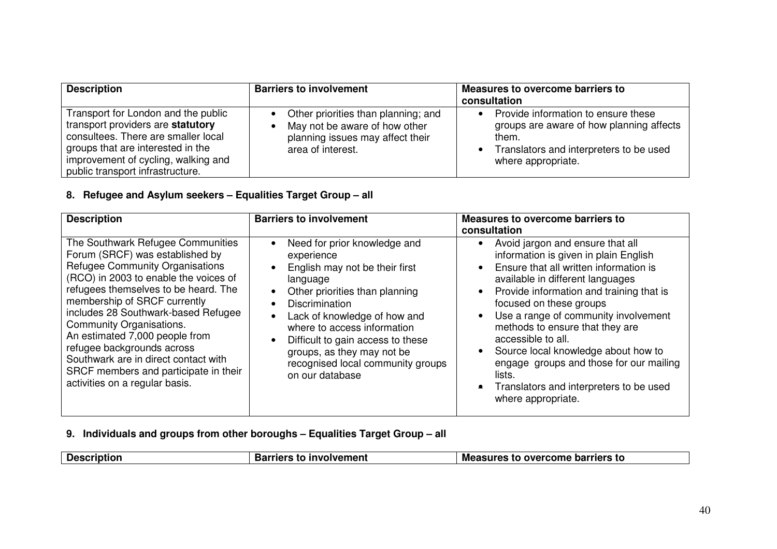| <b>Description</b>                                                                                                                                                                                                              | <b>Barriers to involvement</b>                                                                                                | Measures to overcome barriers to<br>consultation                                                                                                          |
|---------------------------------------------------------------------------------------------------------------------------------------------------------------------------------------------------------------------------------|-------------------------------------------------------------------------------------------------------------------------------|-----------------------------------------------------------------------------------------------------------------------------------------------------------|
| Transport for London and the public<br>transport providers are statutory<br>consultees. There are smaller local<br>groups that are interested in the<br>improvement of cycling, walking and<br>public transport infrastructure. | Other priorities than planning; and<br>May not be aware of how other<br>planning issues may affect their<br>area of interest. | Provide information to ensure these<br>groups are aware of how planning affects<br>them.<br>Translators and interpreters to be used<br>where appropriate. |

### **8. Refugee and Asylum seekers – Equalities Target Group – all**

| <b>Description</b>                                                                                                                                                                                                                                                                                                                                                                                                                                                                    | <b>Barriers to involvement</b>                                                                                                                                                                                                                                                                                                                             | Measures to overcome barriers to                                                                                                                                                                                                                                                                                                                                                                                                                                                                             |
|---------------------------------------------------------------------------------------------------------------------------------------------------------------------------------------------------------------------------------------------------------------------------------------------------------------------------------------------------------------------------------------------------------------------------------------------------------------------------------------|------------------------------------------------------------------------------------------------------------------------------------------------------------------------------------------------------------------------------------------------------------------------------------------------------------------------------------------------------------|--------------------------------------------------------------------------------------------------------------------------------------------------------------------------------------------------------------------------------------------------------------------------------------------------------------------------------------------------------------------------------------------------------------------------------------------------------------------------------------------------------------|
| The Southwark Refugee Communities<br>Forum (SRCF) was established by<br><b>Refugee Community Organisations</b><br>(RCO) in 2003 to enable the voices of<br>refugees themselves to be heard. The<br>membership of SRCF currently<br>includes 28 Southwark-based Refugee<br>Community Organisations.<br>An estimated 7,000 people from<br>refugee backgrounds across<br>Southwark are in direct contact with<br>SRCF members and participate in their<br>activities on a regular basis. | Need for prior knowledge and<br>experience<br>English may not be their first<br>language<br>Other priorities than planning<br><b>Discrimination</b><br>Lack of knowledge of how and<br>$\bullet$<br>where to access information<br>Difficult to gain access to these<br>groups, as they may not be<br>recognised local community groups<br>on our database | consultation<br>Avoid jargon and ensure that all<br>information is given in plain English<br>Ensure that all written information is<br>available in different languages<br>Provide information and training that is<br>focused on these groups<br>Use a range of community involvement<br>methods to ensure that they are<br>accessible to all.<br>Source local knowledge about how to<br>engage groups and those for our mailing<br>lists.<br>Translators and interpreters to be used<br>where appropriate. |

### **9. Individuals and groups from other boroughs – Equalities Target Group – all**

|  | Des | .men<br>.<br>ne r | <b>Measure</b><br><b>barriers to</b><br>-----<br>OVAL<br>come<br>res<br>πо |
|--|-----|-------------------|----------------------------------------------------------------------------|
|--|-----|-------------------|----------------------------------------------------------------------------|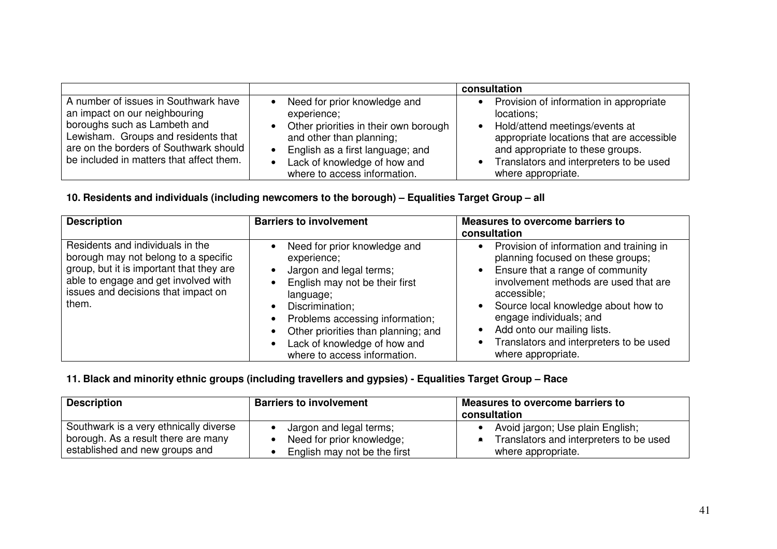|                                                                                                                                                                                                                                    |                                                                                                                                                                                                                                   | consultation                                                                                                                                                                                                                              |
|------------------------------------------------------------------------------------------------------------------------------------------------------------------------------------------------------------------------------------|-----------------------------------------------------------------------------------------------------------------------------------------------------------------------------------------------------------------------------------|-------------------------------------------------------------------------------------------------------------------------------------------------------------------------------------------------------------------------------------------|
| A number of issues in Southwark have<br>an impact on our neighbouring<br>boroughs such as Lambeth and<br>Lewisham. Groups and residents that<br>are on the borders of Southwark should<br>be included in matters that affect them. | Need for prior knowledge and<br>experience;<br>Other priorities in their own borough<br>and other than planning;<br>English as a first language; and<br>$\bullet$<br>Lack of knowledge of how and<br>where to access information. | Provision of information in appropriate<br>locations;<br>Hold/attend meetings/events at<br>appropriate locations that are accessible<br>and appropriate to these groups.<br>Translators and interpreters to be used<br>where appropriate. |

### **10. Residents and individuals (including newcomers to the borough) – Equalities Target Group – all**

| <b>Description</b>                                                                                                                                                                                           | <b>Barriers to involvement</b>                                                                                                                                                                                                                                                                                              | Measures to overcome barriers to<br>consultation                                                                                                                                                                                                                                                                                                         |
|--------------------------------------------------------------------------------------------------------------------------------------------------------------------------------------------------------------|-----------------------------------------------------------------------------------------------------------------------------------------------------------------------------------------------------------------------------------------------------------------------------------------------------------------------------|----------------------------------------------------------------------------------------------------------------------------------------------------------------------------------------------------------------------------------------------------------------------------------------------------------------------------------------------------------|
| Residents and individuals in the<br>borough may not belong to a specific<br>group, but it is important that they are<br>able to engage and get involved with<br>issues and decisions that impact on<br>them. | Need for prior knowledge and<br>experience;<br>Jargon and legal terms;<br>English may not be their first<br>language;<br>Discrimination;<br>$\bullet$<br>• Problems accessing information;<br>Other priorities than planning; and<br>$\bullet$<br>Lack of knowledge of how and<br>$\bullet$<br>where to access information. | Provision of information and training in<br>$\bullet$<br>planning focused on these groups;<br>Ensure that a range of community<br>involvement methods are used that are<br>accessible;<br>Source local knowledge about how to<br>engage individuals; and<br>Add onto our mailing lists.<br>Translators and interpreters to be used<br>where appropriate. |

### **11. Black and minority ethnic groups (including travellers and gypsies) - Equalities Target Group – Race**

| <b>Description</b>                     | <b>Barriers to involvement</b> | Measures to overcome barriers to<br>consultation |
|----------------------------------------|--------------------------------|--------------------------------------------------|
| Southwark is a very ethnically diverse | Jargon and legal terms;        | Avoid jargon; Use plain English;                 |
| borough. As a result there are many    | Need for prior knowledge;      | Translators and interpreters to be used          |
| established and new groups and         | English may not be the first   | where appropriate.                               |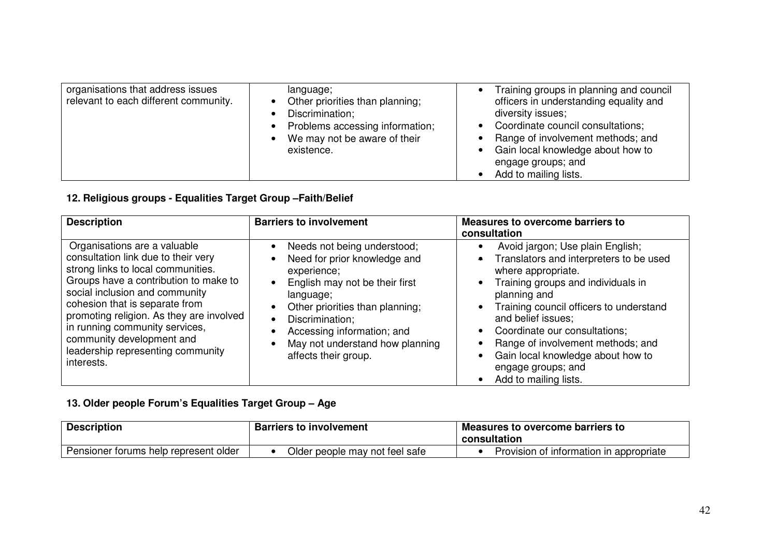| organisations that address issues<br>relevant to each different community. | language;<br>Other priorities than planning;<br>Discrimination;<br>Problems accessing information;<br>We may not be aware of their<br>existence. | Training groups in planning and council<br>officers in understanding equality and<br>diversity issues;<br>Coordinate council consultations;<br>Range of involvement methods; and<br>Gain local knowledge about how to<br>engage groups; and<br>Add to mailing lists. |
|----------------------------------------------------------------------------|--------------------------------------------------------------------------------------------------------------------------------------------------|----------------------------------------------------------------------------------------------------------------------------------------------------------------------------------------------------------------------------------------------------------------------|
|----------------------------------------------------------------------------|--------------------------------------------------------------------------------------------------------------------------------------------------|----------------------------------------------------------------------------------------------------------------------------------------------------------------------------------------------------------------------------------------------------------------------|

### **12. Religious groups - Equalities Target Group –Faith/Belief**

| <b>Description</b>                                                                                                                                                                                                                                                                                                                                                                   | <b>Barriers to involvement</b>                                                                                                                                                                                                                                           | <b>Measures to overcome barriers to</b><br>consultation                                                                                                                                                                                                                                                                                                                            |
|--------------------------------------------------------------------------------------------------------------------------------------------------------------------------------------------------------------------------------------------------------------------------------------------------------------------------------------------------------------------------------------|--------------------------------------------------------------------------------------------------------------------------------------------------------------------------------------------------------------------------------------------------------------------------|------------------------------------------------------------------------------------------------------------------------------------------------------------------------------------------------------------------------------------------------------------------------------------------------------------------------------------------------------------------------------------|
| Organisations are a valuable<br>consultation link due to their very<br>strong links to local communities.<br>Groups have a contribution to make to<br>social inclusion and community<br>cohesion that is separate from<br>promoting religion. As they are involved<br>in running community services,<br>community development and<br>leadership representing community<br>interests. | Needs not being understood;<br>Need for prior knowledge and<br>experience;<br>English may not be their first<br>language;<br>Other priorities than planning;<br>Discrimination;<br>Accessing information; and<br>May not understand how planning<br>affects their group. | Avoid jargon; Use plain English;<br>Translators and interpreters to be used<br>where appropriate.<br>Training groups and individuals in<br>planning and<br>Training council officers to understand<br>and belief issues;<br>Coordinate our consultations;<br>Range of involvement methods; and<br>Gain local knowledge about how to<br>engage groups; and<br>Add to mailing lists. |

### **13. Older people Forum's Equalities Target Group – Age**

| <b>Description</b>                    | <b>Barriers to involvement</b> | Measures to overcome barriers to<br>consultation |
|---------------------------------------|--------------------------------|--------------------------------------------------|
| Pensioner forums help represent older | Older people may not feel safe | Provision of information in appropriate          |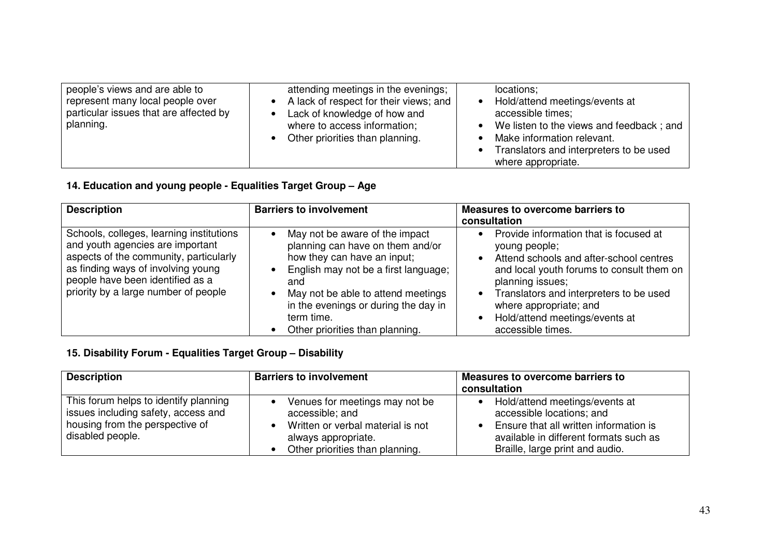| people's views and are able to<br>attending meetings in the evenings;<br>represent many local people over<br>A lack of respect for their views; and<br>particular issues that are affected by<br>Lack of knowledge of how and<br>planning.<br>where to access information;<br>Other priorities than planning. | locations;<br>Hold/attend meetings/events at<br>accessible times;<br>We listen to the views and feedback; and<br>Make information relevant.<br>Translators and interpreters to be used<br>where appropriate. |
|---------------------------------------------------------------------------------------------------------------------------------------------------------------------------------------------------------------------------------------------------------------------------------------------------------------|--------------------------------------------------------------------------------------------------------------------------------------------------------------------------------------------------------------|
|---------------------------------------------------------------------------------------------------------------------------------------------------------------------------------------------------------------------------------------------------------------------------------------------------------------|--------------------------------------------------------------------------------------------------------------------------------------------------------------------------------------------------------------|

### **14. Education and young people - Equalities Target Group – Age**

| <b>Description</b>                                                                                                                                                                                                                       | <b>Barriers to involvement</b>                                                                                                                                                                                                                                                               | <b>Measures to overcome barriers to</b><br>consultation                                                                                                                                                                                                                                         |
|------------------------------------------------------------------------------------------------------------------------------------------------------------------------------------------------------------------------------------------|----------------------------------------------------------------------------------------------------------------------------------------------------------------------------------------------------------------------------------------------------------------------------------------------|-------------------------------------------------------------------------------------------------------------------------------------------------------------------------------------------------------------------------------------------------------------------------------------------------|
| Schools, colleges, learning institutions<br>and youth agencies are important<br>aspects of the community, particularly<br>as finding ways of involving young<br>people have been identified as a<br>priority by a large number of people | May not be aware of the impact<br>planning can have on them and/or<br>how they can have an input;<br>English may not be a first language;<br>and<br>May not be able to attend meetings<br>in the evenings or during the day in<br>term time.<br>Other priorities than planning.<br>$\bullet$ | Provide information that is focused at<br>young people;<br>Attend schools and after-school centres<br>and local youth forums to consult them on<br>planning issues;<br>Translators and interpreters to be used<br>where appropriate; and<br>Hold/attend meetings/events at<br>accessible times. |

### **15. Disability Forum - Equalities Target Group – Disability**

| <b>Description</b>                                                                                                                  | <b>Barriers to involvement</b>                                                                                                                   | <b>Measures to overcome barriers to</b><br>consultation                                                                                                                            |
|-------------------------------------------------------------------------------------------------------------------------------------|--------------------------------------------------------------------------------------------------------------------------------------------------|------------------------------------------------------------------------------------------------------------------------------------------------------------------------------------|
| This forum helps to identify planning<br>issues including safety, access and<br>housing from the perspective of<br>disabled people. | Venues for meetings may not be<br>accessible; and<br>Written or verbal material is not<br>always appropriate.<br>Other priorities than planning. | Hold/attend meetings/events at<br>accessible locations; and<br>Ensure that all written information is<br>available in different formats such as<br>Braille, large print and audio. |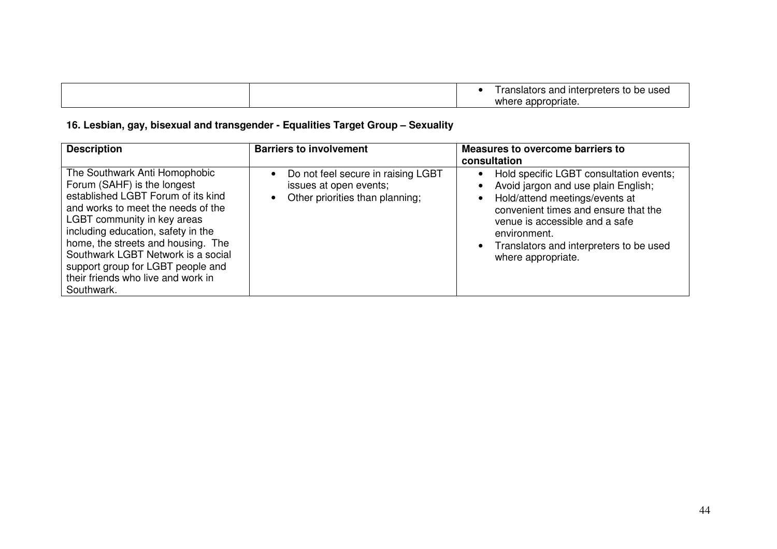|  | be used<br>l ranslators and<br>d interpreters<br>- LC |
|--|-------------------------------------------------------|
|  | cappropriate.<br>where                                |

### **16. Lesbian, gay, bisexual and transgender - Equalities Target Group – Sexuality**

| <b>Description</b>                                                                                                                                                                                                                                                                                                                                                                 | <b>Barriers to involvement</b>                                                                  | Measures to overcome barriers to<br>consultation                                                                                                                                                                                                                                           |
|------------------------------------------------------------------------------------------------------------------------------------------------------------------------------------------------------------------------------------------------------------------------------------------------------------------------------------------------------------------------------------|-------------------------------------------------------------------------------------------------|--------------------------------------------------------------------------------------------------------------------------------------------------------------------------------------------------------------------------------------------------------------------------------------------|
| The Southwark Anti Homophobic<br>Forum (SAHF) is the longest<br>established LGBT Forum of its kind<br>and works to meet the needs of the<br>LGBT community in key areas<br>including education, safety in the<br>home, the streets and housing. The<br>Southwark LGBT Network is a social<br>support group for LGBT people and<br>their friends who live and work in<br>Southwark. | Do not feel secure in raising LGBT<br>issues at open events;<br>Other priorities than planning; | Hold specific LGBT consultation events;<br>$\bullet$<br>Avoid jargon and use plain English;<br>Hold/attend meetings/events at<br>convenient times and ensure that the<br>venue is accessible and a safe<br>environment.<br>• Translators and interpreters to be used<br>where appropriate. |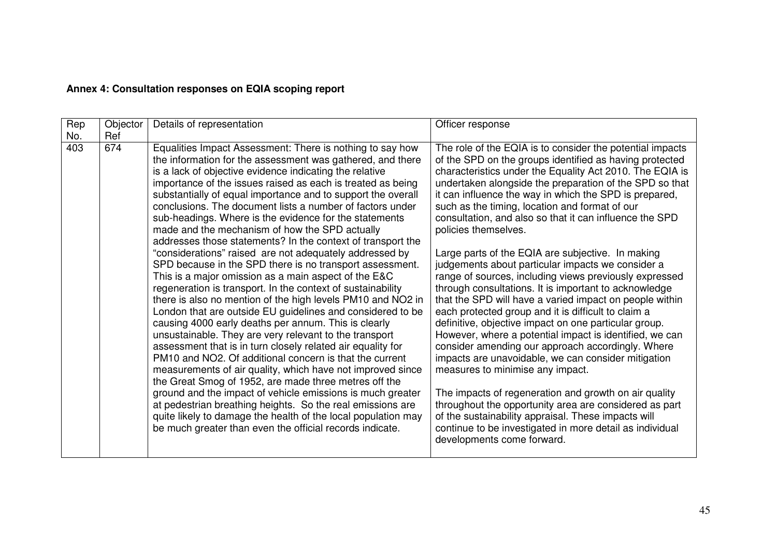### **Annex 4: Consultation responses on EQIA scoping report**

| Rep<br>Objector<br>Details of representation                                                                                                                                                                                                                                                                                                                                                                                                                                                                                                                                                                                                                                                                                                                                                                                                                                                                                                                                                                                                                                                                                                                                                                                                                                                                                                                                                                                                                                                                                                                                   | Officer response                                                                                                                                                                                                                                                                                                                                                                                                                                                                                                                                                                                                                                                                                                                                                                                                                                                                                                                                                                                                                                                                                                                                                                                                                                                                                                                  |
|--------------------------------------------------------------------------------------------------------------------------------------------------------------------------------------------------------------------------------------------------------------------------------------------------------------------------------------------------------------------------------------------------------------------------------------------------------------------------------------------------------------------------------------------------------------------------------------------------------------------------------------------------------------------------------------------------------------------------------------------------------------------------------------------------------------------------------------------------------------------------------------------------------------------------------------------------------------------------------------------------------------------------------------------------------------------------------------------------------------------------------------------------------------------------------------------------------------------------------------------------------------------------------------------------------------------------------------------------------------------------------------------------------------------------------------------------------------------------------------------------------------------------------------------------------------------------------|-----------------------------------------------------------------------------------------------------------------------------------------------------------------------------------------------------------------------------------------------------------------------------------------------------------------------------------------------------------------------------------------------------------------------------------------------------------------------------------------------------------------------------------------------------------------------------------------------------------------------------------------------------------------------------------------------------------------------------------------------------------------------------------------------------------------------------------------------------------------------------------------------------------------------------------------------------------------------------------------------------------------------------------------------------------------------------------------------------------------------------------------------------------------------------------------------------------------------------------------------------------------------------------------------------------------------------------|
| No.<br>Ref                                                                                                                                                                                                                                                                                                                                                                                                                                                                                                                                                                                                                                                                                                                                                                                                                                                                                                                                                                                                                                                                                                                                                                                                                                                                                                                                                                                                                                                                                                                                                                     |                                                                                                                                                                                                                                                                                                                                                                                                                                                                                                                                                                                                                                                                                                                                                                                                                                                                                                                                                                                                                                                                                                                                                                                                                                                                                                                                   |
| 403<br>674<br>Equalities Impact Assessment: There is nothing to say how<br>the information for the assessment was gathered, and there<br>is a lack of objective evidence indicating the relative<br>importance of the issues raised as each is treated as being<br>substantially of equal importance and to support the overall<br>conclusions. The document lists a number of factors under<br>sub-headings. Where is the evidence for the statements<br>made and the mechanism of how the SPD actually<br>addresses those statements? In the context of transport the<br>"considerations" raised are not adequately addressed by<br>SPD because in the SPD there is no transport assessment.<br>This is a major omission as a main aspect of the E&C<br>regeneration is transport. In the context of sustainability<br>there is also no mention of the high levels PM10 and NO2 in<br>London that are outside EU guidelines and considered to be<br>causing 4000 early deaths per annum. This is clearly<br>unsustainable. They are very relevant to the transport<br>assessment that is in turn closely related air equality for<br>PM10 and NO2. Of additional concern is that the current<br>measurements of air quality, which have not improved since<br>the Great Smog of 1952, are made three metres off the<br>ground and the impact of vehicle emissions is much greater<br>at pedestrian breathing heights. So the real emissions are<br>quite likely to damage the health of the local population may<br>be much greater than even the official records indicate. | The role of the EQIA is to consider the potential impacts<br>of the SPD on the groups identified as having protected<br>characteristics under the Equality Act 2010. The EQIA is<br>undertaken alongside the preparation of the SPD so that<br>it can influence the way in which the SPD is prepared,<br>such as the timing, location and format of our<br>consultation, and also so that it can influence the SPD<br>policies themselves.<br>Large parts of the EQIA are subjective. In making<br>judgements about particular impacts we consider a<br>range of sources, including views previously expressed<br>through consultations. It is important to acknowledge<br>that the SPD will have a varied impact on people within<br>each protected group and it is difficult to claim a<br>definitive, objective impact on one particular group.<br>However, where a potential impact is identified, we can<br>consider amending our approach accordingly. Where<br>impacts are unavoidable, we can consider mitigation<br>measures to minimise any impact.<br>The impacts of regeneration and growth on air quality<br>throughout the opportunity area are considered as part<br>of the sustainability appraisal. These impacts will<br>continue to be investigated in more detail as individual<br>developments come forward. |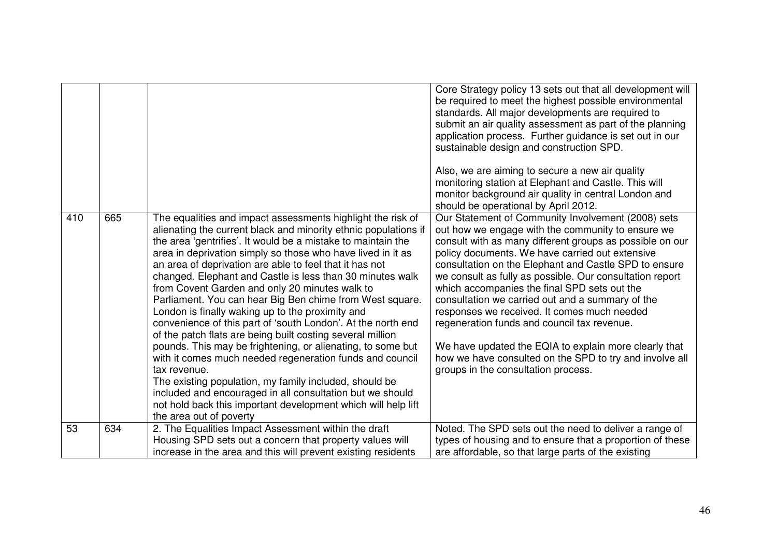|     |     |                                                                                                                                                                                                                                                                                                                                                                                                                                                                                                                                                                                                                                                                                                                                                                                                                                                                                                                                                         | Core Strategy policy 13 sets out that all development will<br>be required to meet the highest possible environmental<br>standards. All major developments are required to<br>submit an air quality assessment as part of the planning<br>application process. Further guidance is set out in our<br>sustainable design and construction SPD.<br>Also, we are aiming to secure a new air quality<br>monitoring station at Elephant and Castle. This will<br>monitor background air quality in central London and<br>should be operational by April 2012.                                                                                                                                                  |
|-----|-----|---------------------------------------------------------------------------------------------------------------------------------------------------------------------------------------------------------------------------------------------------------------------------------------------------------------------------------------------------------------------------------------------------------------------------------------------------------------------------------------------------------------------------------------------------------------------------------------------------------------------------------------------------------------------------------------------------------------------------------------------------------------------------------------------------------------------------------------------------------------------------------------------------------------------------------------------------------|----------------------------------------------------------------------------------------------------------------------------------------------------------------------------------------------------------------------------------------------------------------------------------------------------------------------------------------------------------------------------------------------------------------------------------------------------------------------------------------------------------------------------------------------------------------------------------------------------------------------------------------------------------------------------------------------------------|
| 410 | 665 | The equalities and impact assessments highlight the risk of<br>alienating the current black and minority ethnic populations if<br>the area 'gentrifies'. It would be a mistake to maintain the<br>area in deprivation simply so those who have lived in it as<br>an area of deprivation are able to feel that it has not<br>changed. Elephant and Castle is less than 30 minutes walk<br>from Covent Garden and only 20 minutes walk to<br>Parliament. You can hear Big Ben chime from West square.<br>London is finally waking up to the proximity and<br>convenience of this part of 'south London'. At the north end<br>of the patch flats are being built costing several million<br>pounds. This may be frightening, or alienating, to some but<br>with it comes much needed regeneration funds and council<br>tax revenue.<br>The existing population, my family included, should be<br>included and encouraged in all consultation but we should | Our Statement of Community Involvement (2008) sets<br>out how we engage with the community to ensure we<br>consult with as many different groups as possible on our<br>policy documents. We have carried out extensive<br>consultation on the Elephant and Castle SPD to ensure<br>we consult as fully as possible. Our consultation report<br>which accompanies the final SPD sets out the<br>consultation we carried out and a summary of the<br>responses we received. It comes much needed<br>regeneration funds and council tax revenue.<br>We have updated the EQIA to explain more clearly that<br>how we have consulted on the SPD to try and involve all<br>groups in the consultation process. |
|     |     | not hold back this important development which will help lift<br>the area out of poverty                                                                                                                                                                                                                                                                                                                                                                                                                                                                                                                                                                                                                                                                                                                                                                                                                                                                |                                                                                                                                                                                                                                                                                                                                                                                                                                                                                                                                                                                                                                                                                                          |
| 53  | 634 | 2. The Equalities Impact Assessment within the draft<br>Housing SPD sets out a concern that property values will<br>increase in the area and this will prevent existing residents                                                                                                                                                                                                                                                                                                                                                                                                                                                                                                                                                                                                                                                                                                                                                                       | Noted. The SPD sets out the need to deliver a range of<br>types of housing and to ensure that a proportion of these<br>are affordable, so that large parts of the existing                                                                                                                                                                                                                                                                                                                                                                                                                                                                                                                               |